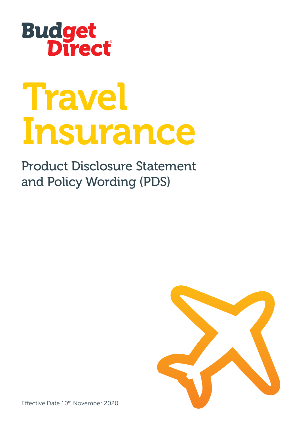

# **Travel** Insurance

Product Disclosure Statement and Policy Wording (PDS)



Effective Date 10th November 2020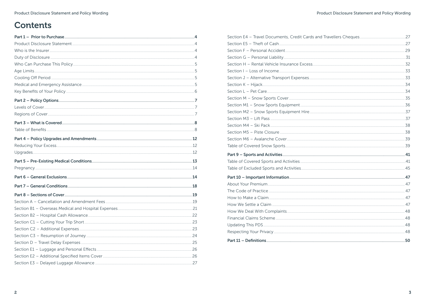## **Contents**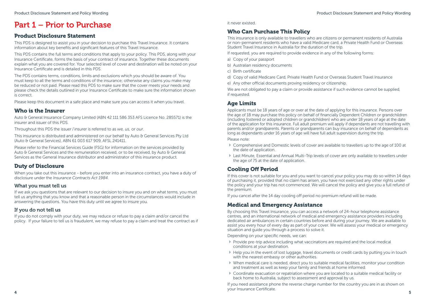### Part 1 – Prior to Purchase

#### Product Disclosure Statement

This PDS is designed to assist you in your decision to purchase this Travel Insurance. It contains information about key benefits and significant features of this Travel Insurance.

This PDS contains the full terms and conditions that apply to your policy. This PDS, along with your Insurance Certificate, forms the basis of your contract of insurance. Together these documents explain what you are covered for. Your selected level of cover and destination will be noted on your Insurance Certificate and is detailed in this PDS.

The PDS contains terms, conditions, limits and exclusions which you should be aware of. You must keep to all the terms and conditions of the insurance; otherwise any claims you make may be reduced or not paid. Please read this PDS to make sure that the cover meets your needs and please check the details outlined in your Insurance Certificate to make sure the information shown is correct.

Please keep this document in a safe place and make sure you can access it when you travel.

#### Who is the Insurer

Auto & General Insurance Company Limited (ABN 42 111 586 353 AFS Licence No. 285571) is the insurer and issuer of this PDS.

Throughout this PDS the issuer / insurer is referred to as *we, us,* or *our*.

This insurance is distributed and administered on our behalf by Auto & General Services Pty Ltd (Auto & General Services), ABN 61 003 617 909, AFSL 241411.

Please refer to the Financial Services Guide (FSG) for information on the services provided by Auto & General Services and the remuneration received, or to be received, by Auto & General Services as the General Insurance distributor and administrator of this insurance product.

#### Duty of Disclosure

When you take out this insurance - before you enter into an insurance contract, you have a duty of disclosure under the *Insurance Contracts Act 1984*.

#### What you must tell us

If we ask you questions that are relevant to our decision to insure you and on what terms, you must tell us anything that you know and that a reasonable person in the circumstances would include in answering the questions. You have this duty until we agree to insure you.

#### If you do not tell us

If you do not comply with your duty, we may reduce or refuse to pay a claim and/or cancel the policy. If your failure to tell us is fraudulent, we may refuse to pay a claim and treat the contract as if it never existed.

#### Who Can Purchase This Policy

This insurance is only available to travellers who are citizens or permanent residents of Australia or non-permanent residents who have a valid Medicare card, a Private Health Fund or Overseas Student Travel Insurance in Australia for the duration of the trip.

If requested, you are required to provide evidence in any of the following forms:

- a) Copy of your passport
- b) Australian residency documents
- c) Birth certificate
- d) Copy of valid Medicare Card, Private Health Fund or Overseas Student Travel Insurance
- e) Any other official documents proving residency or citizenship.

We are not obligated to pay a claim or provide assistance if such evidence cannot be supplied. if requested.

#### Age Limits

Applicants must be 18 years of age or over at the date of applying for this insurance. Persons over the age of 18 may purchase this policy on behalf of financially Dependent Children or grandchildren (including fostered or adopted children or grandchildren) who are under 18 years of age at the date of the application for this insurance. Full adult premium will apply if dependants are not travelling with parents and/or grandparents. Parents or grandparents can buy insurance on behalf of dependants as long as dependants under 16 years of age will have full adult supervision during the trip.

#### Please note:

- $\triangleright$  Comprehensive and Domestic levels of cover are available to travellers up to the age of 100 at the date of application.
- $\blacktriangleright$  Last Minute, Essential and Annual Multi-Trip levels of cover are only available to travellers under the age of 75 at the date of application.

#### Cooling Off Period

If this cover is not suitable for you and you want to cancel your policy you may do so within 14 days of purchasing it, provided that no claim has arisen, you have not exercised any other rights under the policy and your trip has not commenced. We will cancel the policy and give you a full refund of the premium.

If you cancel after the 14 day cooling off period no premium refund will be made.

#### Medical and Emergency Assistance

By choosing this Travel Insurance, you can access a network of 24-hour telephone assistance centres, and an international network of medical and emergency assistance providers including dedicated air ambulances in certain countries before and during your journey. We are available to assist you every hour of every day as part of your cover. We will assess your medical or emergency situation and guide you through a process to solve it.

Depending on your specific needs, we can:

- $\blacktriangleright$  Provide pre-trip advice including what vaccinations are required and the local medical conditions at your destination.
- $\blacktriangleright$  Help you in the event of lost luggage, travel documents or credit cards by putting you in touch with the nearest embassy or other authorities.
- $\blacktriangleright$  When medical care is needed, direct you to suitable medical facilities, monitor your condition and treatment as well as keep your family and friends at home informed.
- $\blacktriangleright$  Coordinate evacuation or repatriation where you are located to a suitable medical facility or back home to Australia, subject to assessment and approval by us.

 $\sim$  5 If you need assistance phone the reverse charge number for the country you are in as shown on your Insurance Certificate.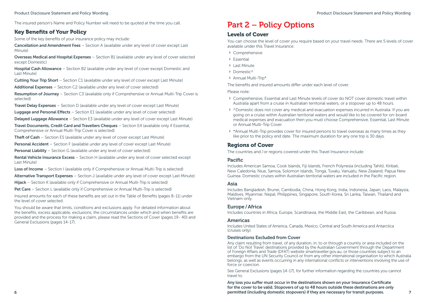The insured person's Name and Policy Number will need to be quoted at the time you call.

### Key Benefits of Your Policy

Some of the key benefits of your insurance policy may include:

Cancellation and Amendment Fees – Section A (available under any level of cover except Last Minute)

Overseas Medical and Hospital Expenses – Section B1 (available under any level of cover selected except Domestic)

Hospital Cash Allowance – Section B2 (available under any level of cover except Domestic and Last Minute)

Cutting Your Trip Short – Section C1 (available under any level of cover except Last Minute)

Additional Expenses – Section C2 (available under any level of cover selected)

Resumption of Journey - Section C3 (available only if Comprehensive or Annual Multi-Trip Cover is selected)

Travel Delay Expenses – Section D (available under any level of cover except Last Minute)

Luggage and Personal Effects – Section E1 (available under any level of cover selected)

Delayed Luggage Allowance – Section E3 (available under any level of cover except Last Minute)

Travel Documents, Credit Card and Travellers Cheques – Section E4 (available only if Essential, Comprehensive or Annual Multi-Trip Cover is selected)

Theft of Cash – Section E5 (available under any level of cover except Last Minute)

Personal Accident – Section F (available under any level of cover except Last Minute)

Personal Liability – Section G (available under any level of cover selected)

Rental Vehicle Insurance Excess – Section H (available under any level of cover selected except Last Minute)

Loss of Income - Section I (available only if Comprehensive or Annual Multi-Trip is selected)

Alternative Transport Expenses – Section J (available under any level of cover except Last Minute)

Hijack – Section K (available only if Comprehensive or Annual Multi-Trip is selected)

Pet Care – Section L (available only if Comprehensive or Annual Multi-Trip is selected)

Insured amounts for each of these benefits are set out in the Table of Benefits (pages 8-11) under the level of cover selected.

You should be aware that limits, conditions and exclusions apply. For detailed information about the benefits, excess applicable, exclusions, the circumstances under which and when benefits are provided and the process for making a claim, please read the Sections of Cover (pages 19- 40) and General Exclusions (pages 14-17).

# Part 2 – Policy Options

### Levels of Cover

You can choose the level of cover you require based on your travel needs. There are 5 levels of cover available under this Travel Insurance:

- $\blacktriangleright$  Comprehensive
- $\blacktriangleright$  Essential
- **1** Last Minute
- ▶ Domestic^
- $\blacktriangleright$  Annual Multi-Trip\*

The benefits and insured amounts differ under each level of cover.

Please note:

- $\triangleright$  Comprehensive, Essential and Last Minute levels of cover do NOT cover domestic travel within Australia apart from a cruise in Australian territorial waters, or a stopover up to 48 hours.
- ▶ ^Domestic does not cover any medical and evacuation expenses incurred in Australia. If you are going on a cruise within Australian territorial waters and would like to be covered for on-board medical expenses and evacuation then you must choose Comprehensive, Essential, Last Minute or Annual Multi-Trip Cover.
- $*$ Annual Multi-Trip provides cover for insured persons to travel overseas as many times as they like prior to the policy end date. The maximum duration for any one trip is 30 days.

#### Regions of Cover

The countries and / or regions covered under this Travel Insurance include:

#### Pacific

Includes American Samoa, Cook Islands, Fiji Islands, French Polynesia (including Tahiti), Kiribati, New Caledonia, Niue, Samoa, Solomon Islands, Tonga, Tuvalu, Vanuatu, New Zealand, Papua New Guinea. Domestic cruises within Australian territorial waters are included in the Pacific region.

#### Asia

Includes Bangladesh, Brunei, Cambodia, China, Hong Kong, India, Indonesia, Japan, Laos, Malaysia, Maldives, Myanmar, Nepal, Philippines, Singapore, South Korea, Sri Lanka, Taiwan, Thailand and Vietnam only.

#### Europe / Africa

Includes countries in Africa, Europe, Scandinavia, the Middle East, the Caribbean, and Russia.

#### Americas

Includes United States of America, Canada, Mexico, Central and South America and Antarctica (cruises only).

#### Destinations Excluded from Cover

Any claim resulting from travel, of any duration, in, to or through a country or area included on the list of 'Do Not Travel' destinations provided by the Australian Government through the Department of Foreign Affairs and Trade (DFAT) website smartraveller.gov.au, or those countries subject to an embargo from the UN Security Council or from any other international organisation to which Australia belongs, as well as events occurring in any international conflicts or interventions involving the use of force or coercion.

See General Exclusions (pages 14-17), for further information regarding the countries you cannot travel to.

6 7 permitted (including domestic stopovers) if they are necessary for transit purposes.Any loss you suffer must occur in the destinations shown on your Insurance Certificate for the cover to be valid. Stopovers of up to 48 hours outside these destinations are only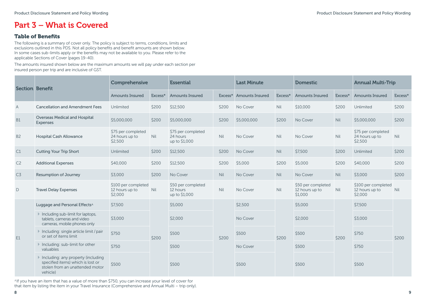### Part 3 – What is Covered

#### Table of Benefits

The following is a summary of cover only. The policy is subject to terms, conditions, limits and exclusions outlined in this PDS. Not all policy benefits and benefit amounts are shown below. In some cases sub-limits apply or the benefits may not be available to you. Please refer to the applicable Sections of Cover (pages 19-40).

The amounts insured shown below are the maximum amounts we will pay under each section per insured person per trip and are inclusive of GST.

|                | <b>Section Benefit</b>                                                                                                 | Comprehensive                                    |         | <b>Essential</b>                                |            | <b>Last Minute</b>      |         | <b>Domestic</b>                                 |         | <b>Annual Multi-Trip</b>                         |         |
|----------------|------------------------------------------------------------------------------------------------------------------------|--------------------------------------------------|---------|-------------------------------------------------|------------|-------------------------|---------|-------------------------------------------------|---------|--------------------------------------------------|---------|
|                |                                                                                                                        | <b>Amounts Insured</b>                           | Excess* | <b>Amounts Insured</b>                          |            | Excess* Amounts Insured | Excess* | <b>Amounts Insured</b>                          | Excess* | <b>Amounts Insured</b>                           | Excess* |
| A              | <b>Cancellation and Amendment Fees</b>                                                                                 | Unlimited                                        | \$200   | \$12,500                                        | \$200      | No Cover                | Nil     | \$10,000                                        | \$200   | Unlimited                                        | \$200   |
| <b>B1</b>      | <b>Overseas Medical and Hospital</b><br>Expenses                                                                       | \$5,000,000                                      | \$200   | \$5,000,000                                     | \$200      | \$5,000,000             | \$200   | No Cover                                        | Nil     | \$5,000,000                                      | \$200   |
| B <sub>2</sub> | <b>Hospital Cash Allowance</b>                                                                                         | \$75 per completed<br>24 hours up to<br>\$2,500  | Nil     | \$75 per completed<br>24 hours<br>up to \$1,000 | Nil        | No Cover                | Nil     | No Cover                                        | Nil     | \$75 per completed<br>24 hours up to<br>\$2,500  | Nil     |
| C1             | <b>Cutting Your Trip Short</b>                                                                                         | Unlimited                                        | \$200   | \$12,500                                        | \$200      | No Cover                | Nil     | \$7,500                                         | \$200   | Unlimited                                        | \$200   |
| C <sub>2</sub> | <b>Additional Expenses</b>                                                                                             | \$40,000                                         | \$200   | \$12,500                                        | \$200      | \$5,000                 | \$200   | \$5,000                                         | \$200   | \$40,000                                         | \$200   |
| C <sub>3</sub> | <b>Resumption of Journey</b>                                                                                           | \$3,000                                          | \$200   | No Cover                                        | <b>Nil</b> | No Cover                | Nil     | No Cover                                        | Nil     | \$3,000                                          | \$200   |
| $\mathsf D$    | <b>Travel Delay Expenses</b>                                                                                           | \$100 per completed<br>12 hours up to<br>\$2,000 | Nil     | \$50 per completed<br>12 hours<br>up to \$1,000 | Nil        | No Cover                | Nil     | \$50 per completed<br>12 hours up to<br>\$1,000 | Nil     | \$100 per completed<br>12 hours up to<br>\$2,000 | Nil     |
|                | Luggage and Personal Effects^                                                                                          | \$7,500                                          |         | \$5,000                                         |            | \$2,500                 |         | \$5,000                                         |         | \$7,500                                          | \$200   |
|                | Including sub-limit for laptops,<br>tablets, cameras and video<br>cameras, mobile phones only                          | \$3,000                                          |         | \$2,000                                         |            | No Cover                |         | \$2,000                                         |         | \$3,000                                          |         |
| E1             | Including: single article limit / pair<br>or set of items limit                                                        | \$750                                            | \$200   | \$500                                           | \$200      | \$500                   | \$200   | \$500                                           | \$200   | \$750                                            |         |
|                | Including: sub-limit for other<br>valuables                                                                            | \$750                                            |         | \$500                                           |            | No Cover                |         | \$500                                           |         | \$750                                            |         |
|                | Including: any property (including<br>specified items) which is lost or<br>stolen from an unattended motor<br>vehicle) | \$500                                            |         | \$500                                           |            | \$500                   |         | \$500                                           |         | \$500                                            |         |

^If you have an item that has a value of more than \$750, you can increase your level of cover for that item by listing the item in your Travel Insurance (Comprehensive and Annual Multi – trip only).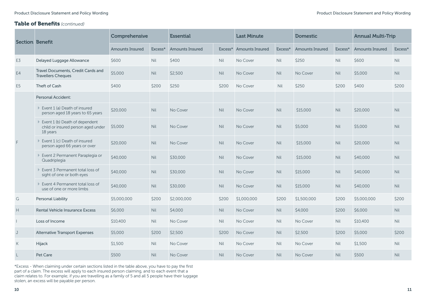#### Table of Benefits *(continued)*

|                             | <b>Section Benefit</b>                                                           | Comprehensive          |         | <b>Essential</b>       |            | <b>Last Minute</b>      |         | <b>Domestic</b>        |            | <b>Annual Multi-Trip</b> |            |
|-----------------------------|----------------------------------------------------------------------------------|------------------------|---------|------------------------|------------|-------------------------|---------|------------------------|------------|--------------------------|------------|
|                             |                                                                                  | <b>Amounts Insured</b> | Excess* | <b>Amounts Insured</b> |            | Excess* Amounts Insured | Excess* | <b>Amounts Insured</b> | Excess*    | <b>Amounts Insured</b>   | Excess*    |
| E3                          | Delayed Luggage Allowance                                                        | \$600                  | Nil     | \$400                  | Nil        | No Cover                | Nil     | \$250                  | Nil        | \$600                    | Nil        |
| E4                          | Travel Documents, Credit Cards and<br><b>Travellers Cheques</b>                  | \$5,000                | Nil     | \$2,500                | <b>Nil</b> | No Cover                | Nil     | No Cover               | Nil        | \$5,000                  | Nil        |
| E <sub>5</sub>              | Theft of Cash                                                                    | \$400                  | \$200   | \$250                  | \$200      | No Cover                | Nil     | \$250                  | \$200      | \$400                    | \$200      |
|                             | Personal Accident:                                                               |                        |         |                        |            |                         |         |                        |            |                          |            |
|                             | Event 1 (a) Death of insured<br>person aged 18 years to 65 years                 | \$20,000               | Nil     | No Cover               | <b>Nil</b> | No Cover                | Nil     | \$15,000               | Nil        | \$20,000                 | Nil        |
|                             | Event 1 (b) Death of dependent<br>child or insured person aged under<br>18 years | \$5,000                | Nil     | No Cover               | <b>Nil</b> | No Cover                | Nil     | \$5,000                | Nil        | \$5,000                  | Nil        |
| F                           | Event 1 (c) Death of insured<br>person aged 66 years or over                     | \$20,000               | Nil     | No Cover               | Nil        | No Cover                | Nil     | \$15,000               | Nil        | \$20,000                 | Nil        |
|                             | Event 2 Permanent Paraplegia or<br>Quadriplegia                                  | \$40,000               | Nil     | \$30,000               | Nil        | No Cover                | Nil     | \$15,000               | Nil        | \$40,000                 | Nil        |
|                             | Event 3 Permanent total loss of<br>sight of one or both eyes                     | \$40,000               | Nil     | \$30,000               | Nil        | No Cover                | Nil     | \$15,000               | Nil        | \$40,000                 | <b>Nil</b> |
|                             | Event 4 Permanent total loss of<br>use of one or more limbs                      | \$40,000               | Nil     | \$30,000               | Nil        | No Cover                | Nil     | \$15,000               | Nil        | \$40,000                 | Nil        |
| G                           | <b>Personal Liability</b>                                                        | \$5,000,000            | \$200   | \$2,000,000            | \$200      | \$1,000,000             | \$200   | \$1,500,000            | \$200      | \$5,000,000              | \$200      |
| $\mathsf{H}% _{\mathsf{H}}$ | <b>Rental Vehicle Insurance Excess</b>                                           | \$6,000                | Nil     | \$4,000                | Nil        | No Cover                | Nil     | \$4,000                | \$200      | \$6,000                  | <b>Nil</b> |
|                             | Loss of Income                                                                   | \$10,400               | Nil     | No Cover               | Nil        | No Cover                | Nil     | No Cover               | Nil        | \$10,400                 | Nil        |
| J                           | <b>Alternative Transport Expenses</b>                                            | \$5,000                | \$200   | \$2,500                | \$200      | No Cover                | Nil     | \$2,500                | \$200      | \$5,000                  | \$200      |
| К                           | Hijack                                                                           | \$1,500                | Nil     | No Cover               | Nil        | No Cover                | Nil     | No Cover               | Nil        | \$1,500                  | Nil        |
| L                           | Pet Care                                                                         | \$500                  | Nil     | No Cover               | <b>Nil</b> | No Cover                | Nil     | No Cover               | <b>Nil</b> | \$500                    | Nil        |

\*Excess - When claiming under certain sections listed in the table above, you have to pay the first part of a claim. The excess will apply to each insured person claiming, and to each event that a claim relates to. For example; if you are travelling as a family of 5 and all 5 people have their luggage stolen, an excess will be payable per person.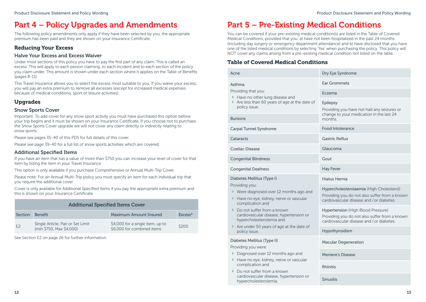## Part 4 – Policy Upgrades and Amendments

The following policy amendments only apply if they have been selected by you, the appropriate premium has been paid and they are shown on your Insurance Certificate.

#### Reducing Your Excess

#### Halve Your Excess and Excess Waiver

Under most sections of this policy you have to pay the first part of any claim. This is called an excess. This will apply to each person claiming, to each incident and to each section of the policy you claim under. This amount is shown under each section where it applies on the Table of Benefits (pages 8-11).

This Travel Insurance allows you to select the excess most suitable to you. If you waive your excess, you will pay an extra premium to remove all excesses (except for increased medical expenses because of medical conditions, sport or leisure activities).

#### **Upgrades**

#### Snow Sports Cover

Important: To add cover for any snow sport activity you must have purchased this option before your trip begins and it must be shown on your Insurance Certificate. If you choose not to purchase the Snow Sports Cover upgrade we will not cover any claim directly or indirectly relating to snow sports.

Please see pages 35-40 of this PDS for full details of this cover.

Please see page 39-40 for a full list of snow sports activities which are covered.

#### Additional Specified Items

If you have an item that has a value of more than \$750 you can increase your level of cover for that item by listing the item in your Travel Insurance.

This option is only available if you purchase Comprehensive or Annual Multi-Trip Cover.

Please note: For an Annual Multi-Trip policy you must specify an item for each individual trip that you require the additional cover.

Cover is only available for Additional Specified Items if you pay the appropriate extra premium and this is shown on your Insurance Certificate.

|                | <b>Additional Specified Items Cover</b>                       |                                                                |           |  |  |  |  |  |
|----------------|---------------------------------------------------------------|----------------------------------------------------------------|-----------|--|--|--|--|--|
| Section        | <b>Benefit</b>                                                | Maximum Amount Insured                                         | $Excess*$ |  |  |  |  |  |
| F <sub>2</sub> | Single Article, Pair or Set Limit<br>(min \$750, Max \$4,000) | \$4,000 for a single item, up to<br>\$6,000 for combined items | \$200     |  |  |  |  |  |

See Section E2 on page 26 for further information.

### Part 5 – Pre-Existing Medical Conditions

You can be covered if your pre-existing medical condition(s) are listed in the Table of Covered Medical Conditions, provided that you: a) have not been hospitalized in the past 24 months (including day surgery or emergency department attendance) and b) have disclosed that you have one of the listed medical conditions by selecting 'Yes' when purchasing the policy. This policy will NOT cover any claims arising from a pre-existing medical condition not listed on the table.

#### Table of Covered Medical Conditions

| Acne                                                                                                                    | Dry Eye Syndrome                                                                                                                       |  |  |  |  |
|-------------------------------------------------------------------------------------------------------------------------|----------------------------------------------------------------------------------------------------------------------------------------|--|--|--|--|
| Asthma                                                                                                                  | <b>Ear Grommets</b>                                                                                                                    |  |  |  |  |
| Providing that you:<br>Have no other lung disease and                                                                   | <b>Fczema</b>                                                                                                                          |  |  |  |  |
| Are less than 60 years of age at the date of<br>policy issue.                                                           | Epilepsy<br>Providing you have not had any seizures or<br>change to your medication in the last 24                                     |  |  |  |  |
| <b>Bunions</b>                                                                                                          | months.                                                                                                                                |  |  |  |  |
| <b>Carpal Tunnel Syndrome</b>                                                                                           | Food Intolerance                                                                                                                       |  |  |  |  |
| Cataracts                                                                                                               | <b>Gastric Reflux</b>                                                                                                                  |  |  |  |  |
| Coeliac Disease                                                                                                         | Glaucoma                                                                                                                               |  |  |  |  |
| <b>Congenital Blindness</b>                                                                                             | Gout                                                                                                                                   |  |  |  |  |
| <b>Congenital Deafness</b>                                                                                              | <b>Hay Fever</b>                                                                                                                       |  |  |  |  |
| Diabetes Mellitus (Type I)                                                                                              | Hiatus Hernia                                                                                                                          |  |  |  |  |
| Providing you:<br>▶ Were diagnosed over 12 months ago and<br>Have no eye, kidney, nerve or vascular<br>complication and | Hypercholesterolaemia (High Cholesterol)<br>Providing you do not also suffer from a known<br>cardiovascular disease and / or diabetes. |  |  |  |  |
| Do not suffer from a known<br>cardiovascular disease, hypertension or<br>hypercholesterolemia and                       | Hypertension (High Blood Pressure)<br>Providing you do not also suffer from a known<br>cardiovascular disease and / or diabetes.       |  |  |  |  |
| Are under 50 years of age at the date of<br>policy issue.                                                               | Hypothyroidism                                                                                                                         |  |  |  |  |
| Diabetes Mellitus (Type II)<br>Providing you were:                                                                      | <b>Macular Degeneration</b>                                                                                                            |  |  |  |  |
| Diagnosed over 12 months ago and<br>Þ.<br>Have no eye, kidney, nerve or vascular                                        | Meniere's Disease                                                                                                                      |  |  |  |  |
| complication and<br>Do not suffer from a known<br>Þ.                                                                    | <b>Rhinitis</b>                                                                                                                        |  |  |  |  |
| cardiovascular disease, hypertension or<br>hypercholesterolemia.                                                        | <b>Sinusitis</b>                                                                                                                       |  |  |  |  |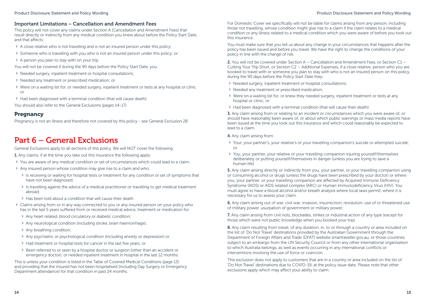#### Important Limitations – Cancellation and Amendment Fees

This policy will not cover any claims under Section A (Cancellation and Amendment Fees) that result directly or indirectly from any medical condition you knew about before the Policy Start Date, and that affects:

- $\blacktriangleright$  A close relative who is not travelling and is not an insured person under this policy;
- $\blacktriangleright$  Someone who is travelling with you who is not an insured person under this policy; or
- $\blacktriangleright$  A person you plan to stay with on your trip.
- You will not be covered if during the 90 days before the Policy Start Date, you:
- $\blacktriangleright$  Needed surgery, inpatient treatment or hospital consultations;
- 4 Needed any treatment or prescribed medication; or
- $\blacktriangleright$  Were on a waiting list for, or needed surgery, inpatient treatment or tests at any hospital or clinic or
- $\blacktriangleright$  Had been diagnosed with a terminal condition (that will cause death).

You should also refer to the General Exclusions (pages 14-17).

#### **Pregnancy**

Pregnancy is not an illness and therefore not covered by this policy - see General Exclusion 28.

### Part 6 – General Exclusions

General Exclusions apply to all sections of this policy. We will NOT cover the following:

- 1. Any claims, if at the time you take out this insurance the following apply:
- $\blacktriangleright$  You are aware of any medical condition or set of circumstances which could lead to a claim;
- $\blacktriangleright$  Any insured person whose condition may give rise to a claim and who:
	- $\blacktriangleright$  Is receiving or waiting for hospital tests or treatment for any condition or set of symptoms that have not been diagnosed;
	- $\blacktriangleright$  Is travelling against the advice of a medical practitioner or travelling to get medical treatment abroad;
	- $\blacktriangleright$  Has been told about a condition that will cause their death.
- $\blacktriangleright$  Claims arising from or in any way connected to you or any insured person on your policy who has in the last 5 years suffered from or received medical advice, treatment or medication for:
	- $\blacktriangleright$  Any heart related, blood circulatory or diabetic condition;
	- $\blacktriangleright$  Any neurological condition (including stroke, brain haemorrhage);
	- $\blacktriangleright$  Any breathing condition;
	- $\blacktriangleright$  Any psychiatric or psychological condition (including anxiety or depression) or
	- $\blacktriangleright$  Had treatment or hospital tests for cancer in the last five years; or
	- $\blacktriangleright$  Been referred to or seen by a hospital doctor or surgeon (other than an accident or emergency doctor), or needed inpatient treatment in hospital in the last 12 months.

This is unless your condition is listed in the Table of Covered Medical Conditions (page 13) and providing that the insured has not been hospitalised (including Day Surgery or Emergency Department attendance) for that condition in past 24 months.

For Domestic Cover we specifically will not be liable for claims arising from any person, including those not travelling, whose condition might give rise to a claim if the claim relates to a medical condition or any illness related to a medical condition which you were aware of before you took out this insurance.

You must make sure that you tell us about any change in your circumstances that happens after the policy has been issued and before you travel. We have the right to change the conditions of your policy in line with the change of risk.

2. You will not be covered under Section A – Cancellation and Amendment Fees, or Section C1 – Cutting Your Trip Short, or Section C2 – Additional Expenses, if a close relative, person who you are booked to travel with or someone you plan to stay with who is not an insured person on this policy, during the 90 days before the Policy Start Date they:

- $\blacktriangleright$  Needed surgery, inpatient treatment or hospital consultations;
- $\blacktriangleright$  Needed any treatment or prescribed medication;
- $\blacktriangleright$  Were on a waiting list for, or knew they needed surgery, inpatient treatment or tests at any hospital or clinic; or
- $\blacktriangleright$  Had been diagnosed with a terminal condition (that will cause their death).

3. Any claim arising from or relating to an incident or circumstances which you were aware of, or should have reasonably been aware of, or about which public warnings or mass media reports have been issued at the time you took out this insurance and which could reasonably be expected to lead to a claim.

4. Any claim arising from:

- ▶ Your, your partner's, your relative's or your travelling companion's suicide or attempted suicide; or
- ▶ You, your partner, your relative or your travelling companion injuring yourself/themselves deliberately or putting yourself/themselves in danger (unless you are trying to save a human life).

5. Any claim arising directly or indirectly from you, your partner, or your travelling companion using or consuming alcohol or drugs (unless the drugs have been prescribed by your doctor) or where you, your partner, or your travelling companion are affected by Acquired Immune Deficiency Syndrome (AIDS) or AIDS related complex (ARC) or Human Immunodeficiency Virus (HIV). You must agree to have a blood alcohol and/or breath analysis where local laws permit, where it is necessary for us to assess your claim.

6. Any claim arising out of war, civil war, invasion, insurrection, revolution, use of or threatened use of military power, usurpation of government or military power.

7. Any claim arising from civil riots, blockades, strikes or industrial action of any type (except for those which were not public knowledge when you booked your trip).

8. Any claim resulting from travel, of any duration, in, to or through a country or area included on the list of 'Do Not Travel' destinations provided by the Australian Government through the Department of Foreign Affairs and Trade (DFAT) website smartraveller.gov.au, or those countries subject to an embargo from the UN Security Council or from any other international organisation to which Australia belongs, as well as events occurring in any international conflicts or interventions involving the use of force or coercion.

This exclusion does not apply to customers that are in a country or area included on the list of 'Do Not Travel' destinations due to COVID-19, at the policy issue date. Please note that other exclusions apply which may affect your ability to claim.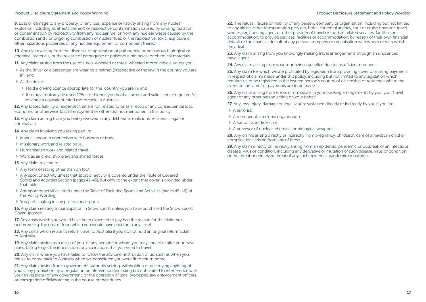#### Product Disclosure Statement and Policy Wording Product Disclosure Statement and Policy Wording

9. Loss or damage to any property, or any loss, expense or liability arising from any nuclear explosion including all effects thereof; or radioactive contamination caused by ionising radiation or contamination by radioactivity from any nuclear fuel or from any nuclear waste caused by the combustion and / or ongoing combustion of nuclear fuel; or the radioactive, toxic, explosive or other hazardous properties of any nuclear equipment or component thereof.

10. Any claim arising from the dispersal or application of pathogenic or poisonous biological or chemical materials; or the release of pathogenic or poisonous biological or chemical materials.

11. Any claim arising from the use of a two-wheeled or three-wheeled motor vehicle unless you;

- $\blacktriangleright$  As the driver or a passenger are wearing a helmet (irrespective of the law in the country you are in), and
- $\blacktriangleright$  As the driver:
	- $\blacktriangleright$  Hold a driving licence appropriate for the country you are in, and
	- $\blacktriangleright$  If using a motorcycle rated 125cc or higher, you hold a current and valid licence required for driving an equivalent rated motorcycle in Australia.

12. Any losses, liability or expenses that are for, related to or as a result of any consequential loss, economic or otherwise, loss of enjoyment or other loss not mentioned in this policy.

13. Any claim arising from you being involved in any deliberate, malicious, reckless, illegal or criminal act.

14. Any claim involving you taking part in:

- $\blacktriangleright$  Manual labour in connection with business or trade.
- $\blacktriangleright$  Missionary work and related travel.
- 4 Humanitarian work and related travel.
- $\blacktriangleright$  Work as air crew, ship crew and armed forces.

#### 15. Any claim relating to:

- $\blacktriangleright$  Any form of racing other than on foot.
- $\blacktriangleright$  Any sport or activity unless that sport or activity is covered under the Table of Covered Sports and Activities Section (pages 41-45), but only to the extent that cover is provided under that table.
- $\blacktriangleright$  Any sport or activities listed under the Table of Excluded Sports and Activities (pages 45-46) of this Policy Wording.
- $\blacktriangleright$  You participating in any professional sports.

16. Any claim relating to participation in Snow Sports unless you have purchased the Snow Sports Cover upgrade.

17. Any costs which you would have been expected to pay had the reason for the claim not occurred (e.g. the cost of food which you would have paid for in any case).

18. Any costs which relate to return travel to Australia if you do not hold an original return ticket to Australia.

19. Any claim arising as a result of you, or any person for whom you may cancel or alter your travel plans, failing to get the inoculations or vaccinations that you need to travel.

20. Any claim where you have failed to follow the advice or instruction of us, such as when you refuse to come back to Australia when we considered you were fit to return home.

21. Any claim arising from a government authority seizing, withholding or destroying anything of yours, any prohibition by or regulation or intervention (including but not limited to interference with your travel plans) of any government, or the operation of legal processes, law enforcement officers or immigration officials acting in the course of their duties.

22. The refusal, failure or inability of any person, company or organisation, including but not limited to any airline, other transportation provider, hotel, car rental agency, tour or cruise operator, travel wholesaler, booking agent or other provider of travel or tourism related services, facilities or accommodation, to provide services, facilities or accommodation, by reason of their own financial default or the financial default of any person, company or organisation with whom or with which they deal.

23. Any claim arising from you knowingly making travel arrangements through an unlicenced travel agent.

24. Any claim arising from your tour being cancelled due to insufficient numbers.

25. Any claim for which we are prohibited by legislation from providing cover or making payments in respect of claims made under this policy, including but not limited to any legislation which requires us to be registered in the insured person's country of citizenship or residence where the event occurs and / or payments are to be made.

26. Any claim arising from errors or omissions in your booking arrangements by you, your travel agent or any other person acting on your behalf.

27. Any loss, injury, damage or legal liability sustained directly or indirectly by you if you are:

- $\blacktriangleright$  A terrorist:
- $\blacktriangleright$  A member of a terrorist organisation;
- ▶ A narcotics trafficker: or
- $\blacktriangleright$  A purveyor of nuclear, chemical or biological weapons.

28. Any claims arising directly or indirectly from pregnancy, childbirth, care of a newborn child or complications arising from any of these.

29. Any claim directly or indirectly arising from an epidemic, pandemic or outbreak of an infectious disease, virus or condition, including any derivative or mutation of such disease, virus or condition, or the threat or perceived threat of any such epidemic, pandemic or outbreak.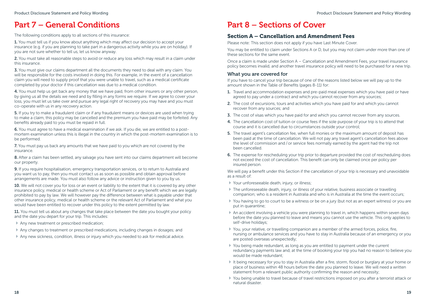# Part 7 – General Conditions

The following conditions apply to all sections of this insurance:

1. You must tell us if you know about anything which may affect our decision to accept your insurance (e.g. if you are planning to take part in a dangerous activity while you are on holiday). If you are not sure whether to tell us, let us know anyway.

2. You must take all reasonable steps to avoid or reduce any loss which may result in a claim under this insurance.

3. You must give our claims department all the documents they need to deal with any claim. You will be responsible for the costs involved in doing this. For example, in the event of a cancellation claim you will need to supply proof that you were unable to travel, such as a medical certificate completed by your doctor if this cancellation was due to a medical condition.

4. You must help us get back any money that we have paid, from other insurers or any other person, by giving us all the details we need and by filling in any forms we require. If we agree to cover your loss, you must let us take over and pursue any legal right of recovery you may have and you must co-operate with us in any recovery action.

**5.** If you try to make a fraudulent claim or if any fraudulent means or devices are used when trying to make a claim, this policy may be cancelled and the premium you have paid may be forfeited. Any benefits already paid to you must be repaid in full.

6. You must agree to have a medical examination if we ask. If you die, we are entitled to a postmortem examination unless this is illegal in the country in which the post-mortem examination is to be performed.

7. You must pay us back any amounts that we have paid to you which are not covered by the insurance.

8. After a claim has been settled, any salvage you have sent into our claims department will become our property.

**9.** If you require hospitalisation, emergency transportation services, or to return to Australia and you want us to pay, then you must contact us as soon as possible and obtain approval before arrangements are made. You must also follow any advice or instruction given to you by us.

10. We will not cover you for loss or an event or liability to the extent that it is covered by any other insurance policy, medical or health scheme or Act of Parliament or any benefit which we are legally prohibited to pay by law. We will however pay the difference between what is payable under that other insurance policy, medical or health scheme or the relevant Act of Parliament and what you would have been entitled to recover under this policy to the extent permitted by law.

11. You must tell us about any changes that take place between the date you bought your policy and the date you depart for your trip. This includes:

- $\blacktriangleright$  Any new treatment or prescribed medication;
- $\blacktriangleright$  Any changes to treatment or prescribed medications, including changes in dosages; and
- $\blacktriangleright$  Any new sickness, condition, illness or injury which you needed to ask for medical advice.

# Part 8 – Sections of Cover

### Section A – Cancellation and Amendment Fees

Please note: This section does not apply if you have Last Minute Cover.

You may be entitled to claim under Sections A or D, but you may not claim under more than one of these sections for the same event.

Once a claim is made under Section A – Cancellation and Amendment Fees, your travel insurance policy becomes invalid, and another travel insurance policy will need to be purchased for a new trip.

#### What you are covered for

If you have to cancel your trip because of one of the reasons listed below we will pay up to the amount shown in the Table of Benefits (pages 8-11) for:

- 1. Travel and accommodation expenses and pre-paid meal expenses which you have paid or have agreed to pay under a contract and which you cannot recover from any sources;
- 2. The cost of excursions, tours and activities which you have paid for and which you cannot recover from any sources; and
- **3.** The cost of visas which you have paid for and which you cannot recover from any sources.
- 4. The cancellation cost of tuition or course fees if the sole purpose of your trip is to attend that course and it is cancelled due to circumstances outside your control;
- 5. The travel agent's cancellation fee, when full monies or the maximum amount of deposit has been paid at the time of cancellation. We will not pay any travel agent's cancellation fees above the level of commission and / or service fees normally earned by the agent had the trip not been cancelled.
- 6. The expense for rescheduling your trip prior to departure provided the cost of rescheduling does not exceed the cost of cancellation. This benefit can only be claimed once per policy per insured person.

We will pay a benefit under this Section if the cancellation of your trip is necessary and unavoidable as a result of:

▶ Your unforeseeable death, injury, or illness;

- $\blacktriangleright$  The unforeseeable death, injury, or illness of your relative, business associate or travelling companion; who is a resident in Australia and who is in Australia at the time the event occurs;
- $\blacktriangleright$  You having to go to court to be a witness or be on a jury (but not as an expert witness) or you are put in quarantine;
- $\blacktriangleright$  An accident involving a vehicle you were planning to travel in, which happens within seven days before the date you planned to leave and means you cannot use the vehicle. This only applies to self-drive holidays;
- $\blacktriangleright$  You, your relative, or travelling companion are a member of the armed forces, police, fire, nursing or ambulance services and you have to stay in Australia because of an emergency or you are posted overseas unexpectedly;
- $\blacktriangleright$  You being made redundant, as long as you are entitled to payment under the current redundancy payments law and, at the time of booking your trip you had no reason to believe you would be made redundant;
- $\blacktriangleright$  It being necessary for you to stay in Australia after a fire, storm, flood or burglary at your home or place of business within 48 hours before the date you planned to leave. We will need a written statement from a relevant public authority confirming the reason and necessity;
- 4 You being unable to travel because of travel restrictions imposed on you after a terrorist attack or natural disaster.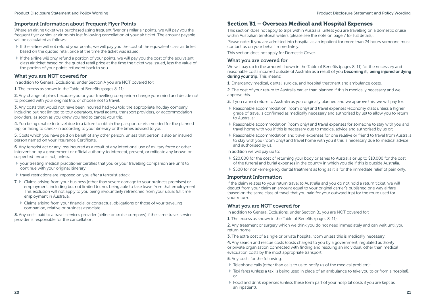#### Important Information about Frequent Flyer Points

Where an airline ticket was purchased using frequent flyer or similar air points, we will pay you the frequent flyer or similar air points lost following cancellation of your air ticket. The amount payable will be calculated as follows:

- $\blacktriangleright$  If the airline will not refund your points, we will pay you the cost of the equivalent class air ticket based on the quoted retail price at the time the ticket was issued.
- $\blacktriangleright$  If the airline will only refund a portion of your points, we will pay you the cost of the equivalent class air ticket based on the quoted retail price at the time the ticket was issued, less the value of the portion of your points refunded back to you.

#### What you are NOT covered for

In addition to General Exclusions, under Section A you are NOT covered for:

1. The excess as shown in the Table of Benefits (pages 8-11).

2. Any change of plans because you or your travelling companion change your mind and decide not to proceed with your original trip, or choose not to travel.

**3.** Any costs that would not have been incurred had you told the appropriate holiday company, including but not limited to tour operators, travel agents, transport providers, or accommodation providers, as soon as you knew you had to cancel your trip.

4. You being unable to travel due to a failure to obtain the passport or visa needed for the planned trip, or failing to check-in according to your itinerary or the times advised to you.

5. Costs which you have paid on behalf of any other person, unless that person is also an insured person named on your Insurance Certificate.

6. Any terrorist act or any loss incurred as a result of any intentional use of military force or other intervention by a government or official authority to intercept, prevent, or mitigate any known or suspected terrorist act, unless:

- $\blacktriangleright$  your treating medical practitioner certifies that you or your travelling companion are unfit to continue with your original itinerary.
- $\blacktriangleright$  travel restrictions are imposed on you after a terrorist attack.
- 7.  $\blacktriangleright$  Claims arising from your business (other than severe damage to your business premises) or employment, including but not limited to, not being able to take leave from that employment. This exclusion will not apply to you being involuntarily retrenched from your usual full time employment in Australia.
	- $\blacktriangleright$  Claims arising from your financial or contractual obligations or those of your travelling companion, relative or business associate.

8. Any costs paid to a travel services provider (airline or cruise company) if the same travel service provider is responsible for the cancellation.

#### Section B1 – Overseas Medical and Hospital Expenses

This section does not apply to trips within Australia, unless you are travelling on a domestic cruise within Australian territorial waters (please see the note on page 7 for full details).

Please note: If you are admitted into hospital as an inpatient for more than 24 hours someone must contact us on your behalf immediately.

This section does not apply for Domestic Cover.

#### What you are covered for

We will pay up to the amount shown in the Table of Benefits (pages 8-11) for the necessary and reasonable costs incurred outside of Australia as a result of you becoming ill, being injured or dying during your trip. This means:

1. Emergency medical, dental, surgical and hospital treatment and ambulance costs.

2. The cost of your return to Australia earlier than planned if this is medically necessary and we approve this.

- **3.** If you cannot return to Australia as you originally planned and we approve this, we will pay for:
- $\blacktriangleright$  Reasonable accommodation (room only) and travel expenses (economy class unless a higher grade of travel is confirmed as medically necessary and authorised by us) to allow you to return to Australia;
- $\blacktriangleright$  Reasonable accommodation (room only) and travel expenses for someone to stay with you and travel home with you if this is necessary due to medical advice and authorised by us or;
- $\blacktriangleright$  Reasonable accommodation and travel expenses for one relative or friend to travel from Australia to stay with you (room only) and travel home with you if this is necessary due to medical advice and authorised by us.
- In addition we will pay up to:
- $\triangleright$  \$20,000 for the cost of returning your body or ashes to Australia or up to \$10,000 for the cost of the funeral and burial expenses in the country in which you die if this is outside Australia.
- $\triangleright$  \$500 for non-emergency dental treatment as long as it is for the immediate relief of pain only.

#### Important Information

If the claim relates to your return travel to Australia and you do not hold a return ticket, we will deduct from your claim an amount equal to your original carrier's published one way airfare (based on the same class of travel that you paid for your outward trip) for the route used for your return.

#### What you are NOT covered for

In addition to General Exclusions, under Section B1 you are NOT covered for:

1. The excess as shown in the Table of Benefits (pages 8-11).

2. Any treatment or surgery which we think you do not need immediately and can wait until you return home.

**3.** The extra cost of a single or private hospital room unless this is medically necessary.

4. Any search and rescue costs (costs charged to you by a government, regulated authority or private organisation connected with finding and rescuing an individual, other than medical evacuation costs by the most appropriate transport).

5. Any costs for the following:

- $\blacktriangleright$  Telephone calls (other than calls to us to notify us of the medical problem):
- $\blacktriangleright$  Taxi fares (unless a taxi is being used in place of an ambulance to take you to or from a hospital); or
- $\blacktriangleright$  Food and drink expenses (unless these form part of your hospital costs if you are kept as an inpatient).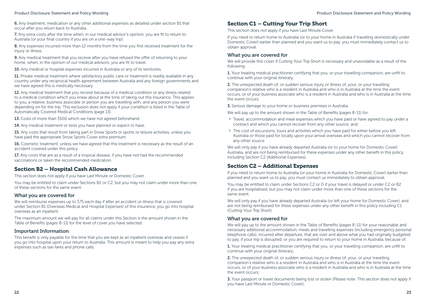#### Product Disclosure Statement and Policy Wording Product Disclosure Statement and Policy Wording

6. Any treatment, medication or any other additional expenses as detailed under section B1 that occur after you return back to Australia.

7. Any extra costs after the time when, in our medical advisor's opinion, you are fit to return to Australia (or your final country if you are on a one-way trip).

8. Any expenses incurred more than 12 months from the time you first received treatment for the injury or illness.

9. Any medical treatment that you receive after you have refused the offer of returning to your home, when, in the opinion of our medical advisors, you are fit to travel.

10. Any medical or hospital expenses incurred in Australia or any of its territories.

11. Private medical treatment where satisfactory public care or treatment is readily available in any country under any reciprocal health agreement between Australia and any foreign governments and we have agreed this is medically necessary.

12. Any medical treatment that you receive because of a medical condition or any illness related to a medical condition which you knew about at the time of taking out this insurance. This applies to you, a relative, business associate or person you are travelling with, and any person you were depending on for the trip. This exclusion does not apply if your condition is listed in the Table of Automatically Covered Medical Conditions (page 13).

13. Costs of more than \$500 which we have not agreed beforehand.

14. Any medical treatment or tests you have planned or expect to have.

15. Any costs that result from taking part in Snow Sports or sports or leisure activities, unless you have paid the appropriate Snow Sports Cover extra premium.

16. Cosmetic treatment, unless we have agreed that this treatment is necessary as the result of an accident covered under this policy.

17. Any costs that are as a result of a tropical disease, if you have not had the recommended vaccinations or taken the recommended medication.

#### Section B2 – Hospital Cash Allowance

This section does not apply if you have Last Minute or Domestic Cover.

You may be entitled to claim under Sections B2 or C2, but you may not claim under more than one of these sections for the same event.

#### What you are covered for

We will reimburse expenses up to \$75 each day if after an accident or illness that is covered under Section B1 (Overseas Medical and Hospital Expenses) of this insurance, you go into hospital overseas as an inpatient.

The maximum amount we will pay for all claims under this Section is the amount shown in the Table of Benefits (pages 8-11) for the level of cover you have selected.

#### Important Information

This benefit is only payable for the time that you are kept as an inpatient overseas and ceases if you go into hospital upon your return to Australia. This amount is meant to help you pay any extra expenses such as taxi fares and phone calls.

#### Section C1 – Cutting Your Trip Short

This section does not apply if you have Last Minute Cover.

If you need to return home to Australia (or to your home in Australia if travelling domestically under Domestic Cover) earlier than planned and you want us to pay, you must immediately contact us to obtain approval.

#### What you are covered for

We will provide this cover if Cutting Your Trip Short is necessary and unavoidable as a result of the following:

1. Your treating medical practitioner certifying that you, or your travelling companion, are unfit to continue with your original itinerary;

2. The unexpected death of, or sudden serious injury or illness of, your, or your travelling companion's relative who is a resident in Australia and who is in Australia at the time the event occurs, or of your business associate who is a resident in Australia and who is in Australia at the time the event occurs;

3. Serious damage to your home or business premises in Australia.

We will pay up to the amount shown in the Table of Benefits (pages 8-11) for:

- $\blacktriangleright$  Travel, accommodation and meal expenses which you have paid or have agreed to pay under a contract and which you cannot recover from any other source; and
- $\blacktriangleright$  The cost of excursions, tours and activities which you have paid for either before you left Australia or those paid for locally upon your arrival overseas and which you cannot recover from any other source.

We will only pay if you have already departed Australia (or to your home for Domestic Cover) Australia, and are not being reimbursed for these expenses under any other benefit in this policy including Section C2 (Additional Expenses).

#### Section C2 – Additional Expenses

If you need to return home to Australia (or your home in Australia for Domestic Cover) earlier than planned and you want us to pay, you must contact us immediately to obtain approval.

You may be entitled to claim under Sections C2 or D if your travel is delayed or under C2 or B2 if you are hospitalised, but you may not claim under more than one of these sections for the same event.

We will only pay if you have already departed Australia (or left your home for Domestic Cover), and are not being reimbursed for these expenses under any other benefit in this policy including C1 (Cutting Your Trip Short).

#### What you are covered for

We will pay up to the amount shown in the Table of Benefits (pages 8-11) for your reasonable and necessary additional accommodation, meals and travelling expenses (including emergency personal telephone calls), incurred after departure, that are over and above what you had originally budgeted to pay, if your trip is disrupted, or you are required to return to your home in Australia, because of:

1. Your treating medical practitioner certifying that you, or your travelling companion, are unfit to continue with your original itinerary;

2. The unexpected death of, or sudden serious injury or illness of, your, or your travelling companion's relative who is a resident in Australia and who is in Australia at the time the event occurs, or of your business associate who is a resident in Australia and who is in Australia at the time the event occurs;

3. Your passport or travel documents being lost or stolen (Please note: This section does not apply if you have Last Minute or Domestic Cover);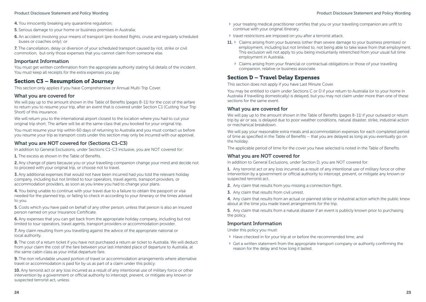5. Serious damage to your home or business premises in Australia;

6. An accident involving your means of transport (pre-booked flights, cruise and regularly scheduled buses or coaches only); or

7. The cancellation, delay or diversion of your scheduled transport caused by riot, strike or civil commotion, but only those expenses that you cannot claim from someone else.

#### Important Information

You must get written confirmation from the appropriate authority stating full details of the incident. You must keep all receipts for the extra expenses you pay.

#### Section C3 – Resumption of Journey

This section only applies if you have Comprehensive or Annual Multi-Trip Cover.

#### What you are covered for

We will pay up to the amount shown in the Table of Benefits (pages 8-11) for the cost of the airfare to return you to resume your trip, after an event that is covered under Section C1 (Cutting Your Trip Short) of this insurance.

We will return you to the international airport closest to the location where you had to cut your original trip short. The airfare will be at the same class that you booked for your original trip.

You must resume your trip within 60 days of returning to Australia and you must contact us before you resume your trip as transport costs under this section may only be incurred with our approval.

#### What you are NOT covered for (Sections C1-C3)

In addition to General Exclusions, under Sections C1-C3 inclusive, you are NOT covered for:

1. The excess as shown in the Table of Benefits.

2. Any change of plans because you or your travelling companion change your mind and decide not to proceed with your original trip, or choose not to travel.

**3.** Any additional expenses that would not have been incurred had you told the relevant holiday company, including but not limited to tour operators, travel agents, transport providers, or accommodation providers, as soon as you knew you had to change your plans.

4. You being unable to continue with your travel due to a failure to obtain the passport or visa needed for the planned trip, or failing to check in according to your itinerary or the times advised to you.

5. Costs which you have paid on behalf of any other person, unless that person is also an insured person named on your Insurance Certificate.

6. Any expenses that you can get back from the appropriate holiday company, including but not limited to tour operators, travel agents, transport providers or accommodation provider.

7. Any claim resulting from you travelling against the advice of the appropriate national or local authority.

8. The cost of a return ticket if you have not purchased a return air ticket to Australia. We will deduct from your claim the cost of the fare between your last intended place of departure to Australia, at the same cabin class as your initial departure fare.

9. The non refundable unused portion of travel or accommodation arrangements where alternative travel or accommodation is paid for by us as part of a claim under this policy.

10. Any terrorist act or any loss incurred as a result of any intentional use of military force or other intervention by a government or official authority to intercept, prevent, or mitigate any known or suspected terrorist act, unless:

- $\blacktriangleright$  vour treating medical practitioner certifies that you or your travelling companion are unfit to continue with your original itinerary.
- $\blacktriangleright$  travel restrictions are imposed on you after a terrorist attack.
- 11. Claims arising from your business (other than severe damage to your business premises) or employment, including but not limited to, not being able to take leave from that employment. This exclusion will not apply to you being involuntarily retrenched from your usual full time employment in Australia.
	- $\blacktriangleright$  Claims arising from your financial or contractual obligations or those of your travelling companion, relative or business associate.

#### Section D – Travel Delay Expenses

This section does not apply if you have Last Minute Cover.

You may be entitled to claim under Sections C or D if your return to Australia (or to your home in Australia if travelling domestically) is delayed, but you may not claim under more than one of these sections for the same event.

#### What you are covered for

We will pay up to the amount shown in the Table of Benefits (pages 8-11) if your outward or return trip by air or sea, is delayed due to poor weather conditions, natural disaster, strike, industrial action or mechanical breakdown.

We will pay your reasonable extra meals and accommodation expenses for each completed period of time as specified in the Table of Benefits – that you are delayed as long as you eventually go on the holiday.

The applicable period of time for the cover you have selected is noted in the Table of Benefits.

#### What you are NOT covered for

In addition to General Exclusions, under Section D, you are NOT covered for:

1. Any terrorist act or any loss incurred as a result of any intentional use of military force or other intervention by a government or official authority to intercept, prevent, or mitigate any known or suspected terrorist act.

2. Any claim that results from you missing a connection flight.

3. Any claim that results from civil unrest.

4. Any claim that results from an actual or planned strike or industrial action which the public knew about at the time you made travel arrangements for the trip.

**5.** Any claim that results from a natural disaster if an event is publicly known prior to purchasing the policy.

#### Important Information

Under this policy you must:

- $\blacktriangleright$  Have checked in for your trip at or before the recommended time; and
- $\blacktriangleright$  Get a written statement from the appropriate transport company or authority confirming the reason for the delay and how long it lasted.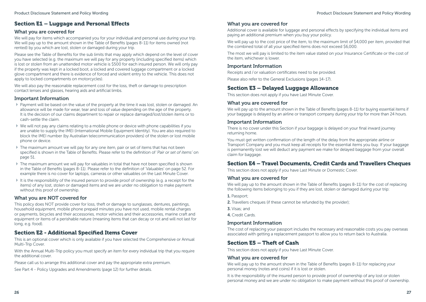#### Section E1 – Luggage and Personal Effects

#### What you are covered for

We will pay for items which accompanied you for your individual and personal use during your trip. We will pay up to the amount shown in the Table of Benefits (pages 8-11) for items owned (not rented) by you which are lost, stolen or damaged during your trip.

Please see the Table of Benefits for the sub limits that may apply which depend on the level of cover you have selected (e.g. the maximum we will pay for any property (including specified items) which is lost or stolen from an unattended motor vehicle is \$500 for each insured person. We will only pay if the property was kept in a locked boot, a locked and covered luggage compartment or a locked glove compartment and there is evidence of forced and violent entry to the vehicle. This does not apply to locked compartments on motorcycles).

We will also pay the reasonable replacement cost for the loss, theft or damage to prescription contact lenses and glasses, hearing aids and artificial limbs.

#### Important Information

- $\blacktriangleright$  Payment will be based on the value of the property at the time it was lost, stolen or damaged. An allowance will be made for wear, tear and loss of value depending on the age of the property. It is the decision of our claims department to repair or replace damaged/lost/stolen items or to cash-settle the claim.
- $\blacktriangleright$  We will not pay any claims relating to a mobile phone or device with phone capabilities if you are unable to supply the IMEI (International Mobile Equipment Identity). You are also required to block the IMEI number (by Australian telecommunication providers) of the stolen or lost mobile phone or device.
- $\blacktriangleright$  The maximum amount we will pay for any one item, pair or set of items that has not been specified is shown in the Table of Benefits. Please refer to the definition of '*Pair or set of items'* on page 51.
- $\blacktriangleright$  The maximum amount we will pay for valuables in total that have not been specified is shown in the Table of Benefits (pages 8-11). Please refer to the definition of '*Valuables*' on page 52. For example there is no cover for laptops, cameras or other valuables on the Last Minute Cover.
- $\blacktriangleright$  It is the responsibility of the insured person to provide proof of ownership (e.g. a receipt for the items) of any lost, stolen or damaged items and we are under no obligation to make payment without this proof of ownership.

#### What you are NOT covered for

This policy does NOT provide cover for loss, theft or damage to sunglasses, dentures, paintings, household equipment, mobile phone prepaid minutes you have not used, mobile rental charges or payments, bicycles and their accessories, motor vehicles and their accessories, marine craft and equipment or items of a perishable nature (meaning items that can decay or rot and will not last for long, e.g. food).

#### Section E2 - Additional Specified Items Cover

This is an optional cover which is only available if you have selected the Comprehensive or Annual Multi-Trip Cover.

With the Annual Multi-Trip policy you must specify an item for every individual trip that you require the additional cover.

Please call us to arrange this additional cover and pay the appropriate extra premium.

See Part 4 - Policy Upgrades and Amendments (page 12) for further details.

#### What you are covered for

Additional cover is available for luggage and personal effects by specifying the individual items and paying an additional premium when you buy your policy.

We will pay up to the cost price of the item, to the maximum limit of \$4,000 per item, provided that the combined total of all your specified items does not exceed \$6,000.

The most we will pay is limited to the item value stated on your Insurance Certificate or the cost of the item, whichever is lower.

#### Important Information

Receipts and / or valuation certificates need to be provided.

Please also refer to the General Exclusions (pages 14-17).

#### Section E3 – Delayed Luggage Allowance

This section does not apply if you have Last Minute Cover.

#### What you are covered for

We will pay up to the amount shown in the Table of Benefits (pages 8-11) for buying essential items if your baggage is delayed by an airline or transport company during your trip for more than 24 hours.

#### Important Information

There is no cover under this Section if your baggage is delayed on your final inward journey returning home.

You must get written confirmation of the length of the delay from the appropriate airline or Transport Company and you must keep all receipts for the essential items you buy. If your baggage is permanently lost we will deduct any payment we make for delayed baggage from your overall claim for baggage.

#### Section E4 – Travel Documents, Credit Cards and Travellers Cheques

This section does not apply if you have Last Minute or Domestic Cover.

#### What you are covered for

We will pay up to the amount shown in the Table of Benefits (pages 8-11) for the cost of replacing the following items belonging to you if they are lost, stolen or damaged during your trip:

1. Passport;

2. Travellers cheques (if these cannot be refunded by the provider);

3. Visas; and

4. Credit Cards.

#### Important Information

The cost of replacing your passport includes the necessary and reasonable costs you pay overseas associated with getting a replacement passport to allow you to return back to Australia.

#### Section E5 – Theft of Cash

This section does not apply if you have Last Minute Cover.

#### What you are covered for

We will pay up to the amount shown in the Table of Benefits (pages 8-11) for replacing your personal money (notes and coins) if it is lost or stolen.

It is the responsibility of the insured person to provide proof of ownership of any lost or stolen personal money and we are under no obligation to make payment without this proof of ownership.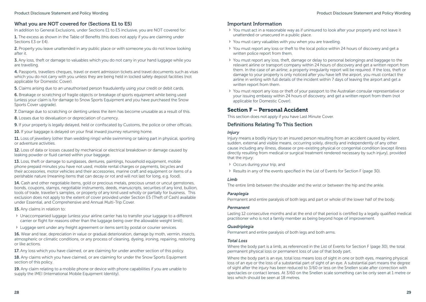#### What you are NOT covered for (Sections E1 to E5)

In addition to General Exclusions, under Sections E1 to E5 inclusive, you are NOT covered for:

1. The excess as shown in the Table of Benefits (this does not apply if you are claiming under Sections E3 or E4).

2. Property you leave unattended in any public place or with someone you do not know looking after it.

3. Any loss, theft or damage to valuables which you do not carry in your hand luggage while you are travelling.

4. Passports, travellers cheques, travel or event admission tickets and travel documents such as visas which you do not carry with you unless they are being held in locked safety deposit facilities (not applicable for Domestic Cover).

5. Claims arising due to an unauthorised person fraudulently using your credit or debit cards.

6. Breakage or scratching of fragile objects or breakage of sports equipment while being used (unless your claim is for damage to Snow Sports Equipment and you have purchased the Snow Sports Cover upgrade)

7. Damage due to scratching or denting unless the item has become unusable as a result of this.

8. Losses due to devaluation or depreciation of currency.

9. If your property is legally delayed, held or confiscated by Customs, the police or other officials.

10. If your baggage is delayed on your final inward journey returning home.

11. Loss of jewellery (other than wedding rings) while swimming or taking part in physical, sporting or adventure activities.

12. Loss of data or losses caused by mechanical or electrical breakdown or damage caused by leaking powder or fluid carried within your baggage.

13. Loss, theft or damage to sunglasses, dentures, paintings, household equipment, mobile phone prepaid minutes you have not used, mobile rental charges or payments, bicycles and their accessories, motor vehicles and their accessories, marine craft and equipment or items of a perishable nature (meaning items that can decay or rot and will not last for long, e.g. food).

14. Cash and other negotiable items, gold or precious metals, precious unset or uncut gemstones, bonds, coupons, stamps, negotiable instruments, deeds, manuscripts, securities of any kind, bullion, tools of trade, traveller's samples, or property of any kind used wholly or partially for business. This exclusion does not apply to the extent of cover provided under Section E5 (Theft of Cash) available under Essential, and Comprehensive and Annual Multi-Trip Cover.

15. Any claims in relation to:

- 4 Unaccompanied luggage (unless your airline carrier has to transfer your luggage to a different carrier or flight for reasons other than the luggage being over the allowable weight limit);
- $\blacktriangleright$  Luggage sent under any freight agreement or items sent by postal or courier services.

16. Wear and tear, depreciation in value or gradual deterioration, damage by moth, vermin, insects, atmospheric or climatic conditions, or any process of cleaning, dyeing, ironing, repairing, restoring or like actions.

17. Any loss which you have claimed, or are claiming for under another section of this policy.

18. Any claims which you have claimed, or are claiming for under the Snow Sports Equipment section of this policy.

19. Any claim relating to a mobile phone or device with phone capabilities if you are unable to supply the IMEI (International Mobile Equipment Identity).

#### Important Information

- $\blacktriangleright$  You must act in a reasonable way as if uninsured to look after your property and not leave it unattended or unsecured in a public place.
- $\blacktriangleright$  You must carry valuables with you when you are travelling.
- $\blacktriangleright$  You must report any loss or theft to the local police within 24 hours of discovery and get a written police report from them.
- 4 You must report any loss, theft, damage or delay to personal belongings and baggage to the relevant airline or transport company within 24 hours of discovery and get a written report from them. In the case of an airline; a property irregularity report will be required. If the loss, theft or damage to your property is only noticed after you have left the airport, you must contact the airline in writing with full details of the incident within 7 days of leaving the airport and get a written report from them.
- 4 You must report any loss or theft of your passport to the Australian consular representative or your issuing embassy within 24 hours of discovery, and get a written report from them (not applicable for Domestic Cover).

#### Section F – Personal Accident

This section does not apply if you have Last Minute Cover.

#### Definitions Relating To This Section

#### *Injury*

Injury means a bodily injury to an insured person resulting from an accident caused by violent, sudden, external and visible means, occurring solely, directly and independently of any other cause including any illness, disease or pre-existing physical or congenital condition (except illness directly resulting from medical or surgical treatment rendered necessary by such injury), provided that the injury:

- ▶ Occurs during your trip, and
- $\triangleright$  Results in any of the events specified in the List of Events for Section F (page 30).

#### *Limb*

The entire limb between the shoulder and the wrist or between the hip and the ankle.

#### *Paraplegia*

Permanent and entire paralysis of both legs and part or whole of the lower half of the body.

#### *Permanent*

Lasting 12 consecutive months and at the end of that period is certified by a legally qualified medical practitioner who is not a family member as being beyond hope of improvement.

#### *Quadriplegia*

Permanent and entire paralysis of both legs and both arms.

#### *Total Loss*

Where the body part is a limb, as referenced in the List of Events for Section F (page 30), the total permanent physical loss or permanent loss of use of that body part.

Where the body part is an eye, total loss means loss of sight in one or both eyes, meaning physical loss of an eye or the loss of a substantial part of sight of an eye. A substantial part means the degree of sight after the injury has been reduced to 3/60 or less on the Snellen scale after correction with spectacles or contact lenses. At 3/60 on the Snellen scale something can be only seen at 1 metre or less which should be seen at 18 metres.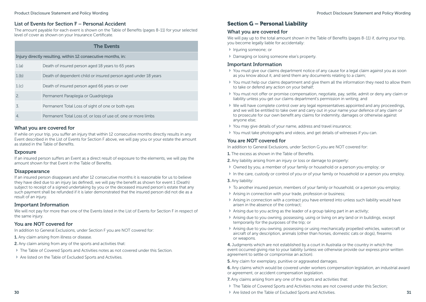#### List of Events for Section F – Personal Accident

The amount payable for each event is shown on the Table of Benefits (pages 8-11) for your selected level of cover as shown on your Insurance Certificate.

|                       | <b>The Events</b>                                              |  |  |  |  |  |  |
|-----------------------|----------------------------------------------------------------|--|--|--|--|--|--|
|                       | Injury directly resulting, within 12 consecutive months, in:   |  |  |  |  |  |  |
| 1.(a)                 | Death of insured person aged 18 years to 65 years              |  |  |  |  |  |  |
| 1.(b)                 | Death of dependent child or insured person aged under 18 years |  |  |  |  |  |  |
| 1.(c)                 | Death of insured person aged 66 years or over                  |  |  |  |  |  |  |
| $\mathcal{P}$         | Permanent Paraplegia or Quadriplegia                           |  |  |  |  |  |  |
| 3.                    | Permanent Total Loss of sight of one or both eyes              |  |  |  |  |  |  |
| $\mathcal{A}_{\cdot}$ | Permanent Total Loss of, or loss of use of, one or more limbs  |  |  |  |  |  |  |

#### What you are covered for

If while on your trip, you suffer an injury that within 12 consecutive months directly results in any Event described in the List of Events for Section F above, we will pay you or your estate the amount as stated in the Table of Benefits.

#### Exposure

If an insured person suffers an Event as a direct result of exposure to the elements, we will pay the amount shown for that Event in the Table of Benefits.

#### **Disappearance**

If an insured person disappears and after 12 consecutive months it is reasonable for us to believe they have died due to an injury (as defined), we will pay the benefit as shown for event 1 (Death) subject to receipt of a signed undertaking by you or the deceased insured person's estate that any such payment shall be refunded if it is later demonstrated that the insured person did not die as a result of an injury.

#### Important Information

We will not pay for more than one of the Events listed in the List of Events for Section F in respect of the same injury.

#### You are NOT covered for

In addition to General Exclusions, under Section F you are NOT covered for:

- 1. Any claim arising from illness or disease.
- 2. Any claim arising from any of the sports and activities that:
- ▶ The Table of Covered Sports and Activities notes as not covered under this Section.
- ▶ Are listed on the Table of Excluded Sports and Activities.

### Section G – Personal Liability

#### What you are covered for

We will pay up to the total amount shown in the Table of Benefits (pages 8-11) if, during your trip, you become legally liable for accidentally:

- $\blacktriangleright$  Injuring someone; or
- 4 Damaging or losing someone else's property.

#### Important Information

- $\blacktriangleright$  You must give our claims department notice of any cause for a legal claim against you as soon as you know about it, and send them any documents relating to a claim;
- $\blacktriangleright$  You must help our claims department and give them all the information they need to allow them to take or defend any action on your behalf;
- ▶ You must not offer or promise compensation, negotiate, pay, settle, admit or deny any claim or liability unless you get our claims department's permission in writing; and
- $\blacktriangleright$  We will have complete control over any legal representatives appointed and any proceedings, and we will be entitled to take over and carry out in your name your defence of any claim or to prosecute for our own benefit any claims for indemnity, damages or otherwise against anyone else;
- ▶ You may give details of your name, address and travel insurance;
- ▶ You must take photographs and videos, and get details of witnesses if you can.

#### You are NOT covered for

In addition to General Exclusions, under Section G you are NOT covered for:

- 1. The excess as shown in the Table of Benefits.
- 2. Any liability arising from an injury or loss or damage to property:
- $\blacktriangleright$  Owned by you, a member of your family or household or a person you employ; or
- $\blacktriangleright$  In the care, custody or control of you or of your family or household or a person you employ.

3. Any liability:

- $\blacktriangleright$  To another insured person, members of your family or household, or a person you employ;
- $\blacktriangleright$  Arising in connection with your trade, profession or business;
- $\blacktriangleright$  Arising in connection with a contract you have entered into unless such liability would have arisen in the absence of the contract;
- $\blacktriangleright$  Arising due to you acting as the leader of a group taking part in an activity;
- 4 Arising due to you owning, possessing, using or living on any land or in buildings, except temporarily for the purposes of the trip; or
- 4 Arising due to you owning, possessing or using mechanically propelled vehicles, watercraft or aircraft of any description, animals (other than horses, domestic cats or dogs), firearms or weapons.

4. Judgments which are not established by a court in Australia or the country in which the event occurred giving rise to your liability (unless we otherwise provide our express prior written agreement to settle or compromise an action).

5. Any claim for exemplary, punitive or aggravated damages.

6. Any claims which would be covered under workers compensation legislation, an industrial award or agreement, or accident compensation legislation.

7. Any claims arising from any one of the sports and activities that:

 $\blacktriangleright$  The Table of Covered Sports and Activities notes are not covered under this Section;

30 31 4 Are listed on the Table of Excluded Sports and Activities.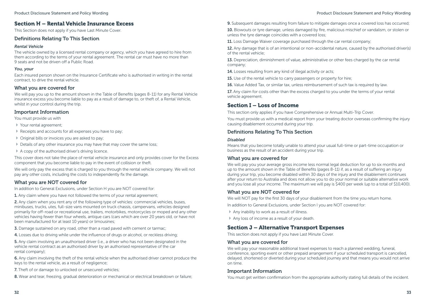#### Section H – Rental Vehicle Insurance Excess

This Section does not apply if you have Last Minute Cover.

#### Definitions Relating To This Section

#### *Rental Vehicle*

The vehicle owned by a licensed rental company or agency, which you have agreed to hire from them according to the terms of your rental agreement. The rental car must have no more than 9 seats and not be driven off a Public Road.

#### *You, your*

Each insured person shown on the Insurance Certificate who is authorised in writing in the rental contract, to drive the rental vehicle.

#### What you are covered for

We will pay you up to the amount shown in the Table of Benefits (pages 8-11) for any Rental Vehicle insurance excess you become liable to pay as a result of damage to, or theft of, a Rental Vehicle, whilst in your control during the trip.

#### Important Information

You must provide us with

- 4 Your rental agreement;
- $\blacktriangleright$  Receipts and accounts for all expenses you have to pay;
- $\triangleright$  Original bills or invoices you are asked to pay;
- $\blacktriangleright$  Details of any other insurance you may have that may cover the same loss;
- $\blacktriangleright$  A copy of the authorised driver's driving licence.

This cover does not take the place of rental vehicle insurance and only provides cover for the Excess component that you become liable to pay in the event of collision or theft.

We will only pay the excess that is charged to you through the rental vehicle company. We will not pay any other costs, including the costs to independently fix the damage.

#### What you are NOT covered for

In addition to General Exclusions, under Section H you are NOT covered for:

1. Any claim where you have not followed the terms of your rental agreement;

2. Any claim when you rent any of the following type of vehicles: commercial vehicles, buses, minibuses, trucks, utes, full-size vans mounted on truck chassis, campervans, vehicles designed primarily for off-road or recreational use, trailers, motorbikes, motorcycles or moped and any other vehicles having fewer than four wheels, antique cars (cars which are over 20 years old, or have not been manufactured for at least 10 years) or limousines;

**3.** Damage sustained on any road, other than a road paved with cement or tarmac;

4. Losses due to driving while under the influence of drugs or alcohol, or reckless driving;

5. Any claim involving an unauthorised driver (i.e., a driver who has not been designated in the vehicle rental contract as an authorised driver by an authorised representative of the car rental company);

6. Any claim involving the theft of the rental vehicle when the authorised driver cannot produce the keys to the rental vehicle, as a result of negligence;

7. Theft of or damage to unlocked or unsecured vehicles;

8. Wear and tear, freezing, gradual deterioration or mechanical or electrical breakdown or failure;

9. Subsequent damages resulting from failure to mitigate damages once a covered loss has occurred;

10. Blowouts or tyre damage, unless damaged by fire, malicious mischief or vandalism, or stolen or unless the tyre damage coincides with a covered loss;

11. Loss Damage Waiver coverage purchased through the car rental company:

12. Any damage that is of an intentional or non-accidental nature, caused by the authorised driver(s) of the rental vehicle;

13. Depreciation, diminishment of value, administrative or other fees charged by the car rental company;

14. Losses resulting from any kind of illegal activity or acts;

15. Use of the rental vehicle to carry passengers or property for hire;

16. Value Added Tax, or similar tax, unless reimbursement of such tax is required by law.

17. Any claim for costs other than the excess charged to you under the terms of your rental vehicle agreement.

#### Section I – Loss of Income

This section only applies if you have Comprehensive or Annual Multi-Trip Cover.

You must provide us with a medical report from your treating doctor overseas confirming the injury causing disablement occurred during your trip.

#### Definitions Relating To This Section

#### *Disabled*

Means that you become totally unable to attend your usual full-time or part-time occupation or business as the result of an accident during your trip.

#### What you are covered for

We will pay you your average gross income less normal legal deduction for up to six months and up to the amount shown in the Table of Benefits (pages 8-11) if, as a result of suffering an injury during your trip, you become disabled within 30 days of the injury and the disablement continues after your return to Australia and does not allow you to do your normal or suitable alternative work and you lose all your income. The maximum we will pay is \$400 per week (up to a total of \$10,400).

#### What you are NOT covered for

We will NOT pay for the first 30 days of your disablement from the time you return home.

In addition to General Exclusions, under Section I you are NOT covered for:

- $\blacktriangleright$  Any inability to work as a result of illness.
- $\blacktriangleright$  Any loss of income as a result of your death.

#### Section J – Alternative Transport Expenses

This section does not apply if you have Last Minute Cover.

#### What you are covered for

We will pay your reasonable additional travel expenses to reach a planned wedding, funeral, conference, sporting event or other prepaid arrangement if your scheduled transport is cancelled, delayed, shortened or diverted during your scheduled journey and that means you would not arrive on time.

#### Important Information

You must get written confirmation from the appropriate authority stating full details of the incident.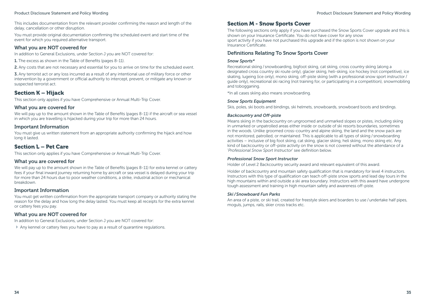This includes documentation from the relevant provider confirming the reason and length of the delay, cancellation or other disruption.

You must provide original documentation confirming the scheduled event and start time of the event for which you required alternative transport.

#### What you are NOT covered for

In addition to General Exclusions, under Section J you are NOT covered for:

- 1. The excess as shown in the Table of Benefits (pages 8-11).
- 2. Any costs that are not necessary and essential for you to arrive on time for the scheduled event.

3. Any terrorist act or any loss incurred as a result of any intentional use of military force or other intervention by a government or official authority to intercept, prevent, or mitigate any known or suspected terrorist act.

#### Section K – Hijack

This section only applies if you have Comprehensive or Annual Multi-Trip Cover.

#### What you are covered for

We will pay up to the amount shown in the Table of Benefits (pages 8-11) if the aircraft or sea vessel in which you are travelling is hijacked during your trip for more than 24 hours.

#### Important Information

You must give us written statement from an appropriate authority confirming the hijack and how long it lasted.

#### Section L – Pet Care

This section only applies if you have Comprehensive or Annual Multi-Trip Cover.

#### What you are covered for

We will pay up to the amount shown in the Table of Benefits (pages 8-11) for extra kennel or cattery fees if your final inward journey returning home by aircraft or sea vessel is delayed during your trip for more than 24 hours due to poor weather conditions, a strike, industrial action or mechanical breakdown.

#### Important Information

You must get written confirmation from the appropriate transport company or authority stating the reason for the delay and how long the delay lasted. You must keep all receipts for the extra kennel or cattery fees you pay.

#### What you are NOT covered for

In addition to General Exclusions, under Section J you are NOT covered for:

 $\blacktriangleright$  Any kennel or cattery fees you have to pay as a result of quarantine regulations.

#### Section M - Snow Sports Cover

The following sections only apply if you have purchased the Snow Sports Cover upgrade and this is shown on your Insurance Certificate. You do not have cover for any snow sport activity if you have not purchased this upgrade and if the option is not shown on your Insurance Certificate.

#### Definitions Relating To Snow Sports Cover

#### *Snow Sports\**

Recreational skiing / snowboarding, bigfoot skiing, cat skiing, cross country skiing (along a designated cross country ski route only), glacier skiing, heli-skiing, ice hockey (not competitive), ice skating, lugeing (ice only), mono skiing, off-piste skiing (with a professional snow sport instructor / guide only), recreational ski racing (not training for, or participating in a competition), snowmobiling and tobogganing.

\*In all cases skiing also means snowboarding.

#### *Snow Sports Equipment*

Skis, poles, ski boots and bindings, ski helmets, snowboards, snowboard boots and bindings.

#### *Backcountry and Off-piste*

Means skiing in the backcountry on ungroomed and unmarked slopes or pistes, including skiing in unmarked or unpatrolled areas either inside or outside of ski resorts boundaries, sometimes in the woods. Unlike groomed cross-country and alpine skiing, the land and the snow pack are not monitored, patrolled, or maintained. This is applicable to all types of skiing / snowboarding activities – inclusive of big foot skiing, cat skiing, glacier skiing, heli skiing, mono skiing etc. Any kind of backcountry or off-piste activity on the snow is not covered without the attendance of a '*Professional Snow Sport Instructor*' see definition below.

#### *Professional Snow Sport Instructor*

Holder of Level 2 Backcountry security award and relevant equivalent of this award.

Holder of backcountry and mountain safety qualification that is mandatory for level 4 instructors. Instructors with this type of qualification can teach off-piste snow sports and lead day tours in the high mountains within and outside a ski area boundary. Instructors with this award have undergone tough assessment and training in high mountain safety and awareness off-piste.

#### *Ski / Snowboard Fun Parks*

An area of a piste, or ski trail, created for freestyle skiers and boarders to use / undertake half pipes, moguls, jumps, rails, skier cross tracks etc.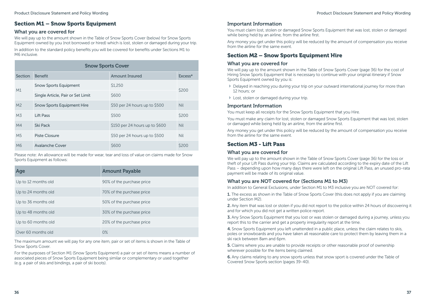#### Section M1 – Snow Sports Equipment

#### What you are covered for

We will pay up to the amount shown in the Table of Snow Sports Cover (below) for Snow Sports Equipment owned by you (not borrowed or hired) which is lost, stolen or damaged during your trip.

In addition to the standard policy benefits you will be covered for benefits under Sections M1 to M6 inclusive.

| <b>Snow Sports Cover</b> |                                            |                                |              |  |  |  |  |
|--------------------------|--------------------------------------------|--------------------------------|--------------|--|--|--|--|
| Section                  | <b>Benefit</b>                             | Amount Insured                 | $Excess*$    |  |  |  |  |
| M1                       | <b>Snow Sports Equipment</b>               | \$1,250                        | \$200        |  |  |  |  |
|                          | \$600<br>Single Article, Pair or Set Limit |                                |              |  |  |  |  |
| M <sub>2</sub>           | <b>Snow Sports Equipment Hire</b>          | \$50 per 24 hours up to \$500  | <b>Nil</b>   |  |  |  |  |
| M <sub>3</sub>           | <b>Lift Pass</b>                           | \$500                          | \$200        |  |  |  |  |
| M4                       | Ski Pack                                   | \$150 per 24 hours up to \$600 | <b>Nil</b>   |  |  |  |  |
| M <sub>5</sub>           | Piste Closure                              | \$50 per 24 hours up to \$500  | Nil          |  |  |  |  |
| M6                       | <b>Avalanche Cover</b>                     | \$600                          | <b>\$200</b> |  |  |  |  |

Please note: An allowance will be made for wear, tear and loss of value on claims made for Snow Sports Equipment as follows:

| Age                 | <b>Amount Payable</b>     |
|---------------------|---------------------------|
| Up to 12 months old | 90% of the purchase price |
| Up to 24 months old | 70% of the purchase price |
| Up to 36 months old | 50% of the purchase price |
| Up to 48 months old | 30% of the purchase price |
| Up to 60 months old | 20% of the purchase price |
| Over 60 months old  | $0\%$                     |

The maximum amount we will pay for any one item, pair or set of items is shown in the Table of Snow Sports Cover.

For the purposes of Section M1 (Snow Sports Equipment) a pair or set of items means a number of associated pieces of Snow Sports Equipment being similar or complementary or used together (e.g. a pair of skis and bindings, a pair of ski boots).

#### Important Information

You must claim lost, stolen or damaged Snow Sports Equipment that was lost, stolen or damaged while being held by an airline, from the airline first.

Any money you get under this policy will be reduced by the amount of compensation you receive from the airline for the same event.

#### Section M2 – Snow Sports Equipment Hire

#### What you are covered for

We will pay up to the amount shown in the Table of Snow Sports Cover (page 36) for the cost of Hiring Snow Sports Equipment that is necessary to continue with your original itinerary if Snow Sports Equipment owned by you is:

- $\blacktriangleright$  Delayed in reaching you during your trip on your outward international journey for more than 12 hours; or
- $\blacktriangleright$  Lost, stolen or damaged during your trip.

#### Important Information

You must keep all receipts for the Snow Sports Equipment that you Hire.

You must make any claim for lost, stolen or damaged Snow Sports Equipment that was lost, stolen or damaged while being held by an airline, from the airline first.

Any money you get under this policy will be reduced by the amount of compensation you receive from the airline for the same event.

#### Section M3 - Lift Pass

#### What you are covered for

We will pay up to the amount shown in the Table of Snow Sports Cover (page 36) for the loss or theft of your Lift Pass during your trip. Claims are calculated according to the expiry date of the Lift Pass – depending upon how many days there were left on the original Lift Pass, an unused pro-rata payment will be made of its original value.

#### What you are NOT covered for (Sections M1 to M3)

In addition to General Exclusions, under Section M1 to M3 inclusive you are NOT covered for:

1. The excess as shown in the Table of Snow Sports Cover (this does not apply if you are claiming under Section M2).

2. Any item that was lost or stolen if you did not report to the police within 24 hours of discovering it and for which you did not get a written police report.

3. Any Snow Sports Equipment that you lost or was stolen or damaged during a journey, unless you report this to the carrier and get a property irregularity report at the time.

4. Snow Sports Equipment you left unattended in a public place, unless the claim relates to skis, poles or snowboards and you have taken all reasonable care to protect them by leaving them in a ski rack between 8am and 6pm.

**5.** Claims where you are unable to provide receipts or other reasonable proof of ownership wherever possible for the items being claimed.

6. Any claims relating to any snow sports unless that snow sport is covered under the Table of Covered Snow Sports section (pages 39-40).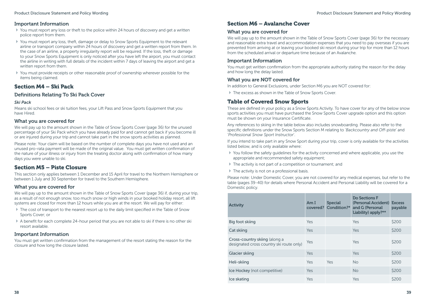#### Important Information

- $\blacktriangleright$  You must report any loss or theft to the police within 24 hours of discovery and get a written police report from them.
- 4 You must report any loss, theft, damage or delay to Snow Sports Equipment to the relevant airline or transport company within 24 hours of discovery and get a written report from them. In the case of an airline, a property irregularity report will be required. If the loss, theft or damage to your Snow Sports Equipment is only noticed after you have left the airport, you must contact the airline in writing with full details of the incident within 7 days of leaving the airport and get a written report from them.
- 4 You must provide receipts or other reasonable proof of ownership wherever possible for the items being claimed.

#### Section M4 – Ski Pack

#### Definitions Relating To Ski Pack Cover

#### *Ski Pack*

Means ski school fees or ski tuition fees, your Lift Pass and Snow Sports Equipment that you have Hired.

#### What you are covered for

We will pay up to the amount shown in the Table of Snow Sports Cover (page 36) for the unused percentage of your Ski Pack which you have already paid for and cannot get back if you become ill or are injured during your trip and cannot take part in the snow sports activities as planned.

Please note: Your claim will be based on the number of complete days you have not used and an unused pro-rata payment will be made of the original value. You must get written confirmation of the nature of your illness or injury from the treating doctor along with confirmation of how many days you were unable to ski.

#### Section M5 – Piste Closure

This section only applies between 1 December and 15 April for travel to the Northern Hemisphere or between 1 July and 30 September for travel to the Southern Hemisphere.

#### What you are covered for

We will pay up to the amount shown in the Table of Snow Sports Cover (page 36) if, during your trip, as a result of not enough snow, too much snow or high winds in your booked holiday resort, all lift systems are closed for more than 12 hours while you are at the resort. We will pay for either:

- $\blacktriangleright$  The cost of transport to the nearest resort up to the daily limit specified in the Table of Snow Sports Cover; or
- $\triangleright$  A benefit for each complete 24-hour period that you are not able to ski if there is no other ski resort available.

#### Important Information

You must get written confirmation from the management of the resort stating the reason for the closure and how long the closure lasted.

#### Section M6 – Avalanche Cover

#### What you are covered for

We will pay up to the amount shown in the Table of Snow Sports Cover (page 36) for the necessary and reasonable extra travel and accommodation expenses that you need to pay overseas if you are prevented from arriving at or leaving your booked ski resort during your trip for more than 12 hours from the scheduled arrival or departure time because of an Avalanche.

#### Important Information

You must get written confirmation from the appropriate authority stating the reason for the delay and how long the delay lasted.

#### What you are NOT covered for

In addition to General Exclusions, under Section M6 you are NOT covered for:

 $\blacktriangleright$  The excess as shown in the Table of Snow Sports Cover.

#### Table of Covered Snow Sports

These are defined in your policy as a Snow Sports Activity. To have cover for any of the below snow sports activities you must have purchased the Snow Sports Cover upgrade option and this option must be shown on your Insurance Certificate.

Any references to skiing in the table below also includes snowboarding. Please also refer to the specific definitions under the Snow Sports Section M relating to '*Backcountry and Off-piste*' and '*Professional Snow Sport Instructor*'.

If you intend to take part in any Snow Sport during your trip, cover is only available for the activities listed below, and is only available where:

- $\blacktriangleright$  You follow the safety quidelines for the activity concerned and where applicable, you use the appropriate and recommended safety equipment;
- $\blacktriangleright$  The activity is not part of a competition or tournament; and
- $\blacktriangleright$  The activity is not on a professional basis.

Please note: Under Domestic Cover, you are not covered for any medical expenses, but refer to the table (pages 39-40) for details where Personal Accident and Personal Liability will be covered for a Domestic policy.

| Activity                                                                  | Am I<br>covered? | <b>Special</b><br>Condition?* | <b>Do Sections F</b><br>(Personal Accident) Excess<br>and G (Personal<br>Liability) apply?** | payable |
|---------------------------------------------------------------------------|------------------|-------------------------------|----------------------------------------------------------------------------------------------|---------|
| Big foot skiing                                                           | Yes              |                               | Yes                                                                                          | \$200   |
| Cat skiing                                                                | Yes              |                               | Yes                                                                                          | \$200   |
| Cross-country skiing (along a<br>designated cross country ski route only) | Yes              |                               | Yes                                                                                          | \$200   |
| Glacier skiing                                                            | Yes              |                               | Yes                                                                                          | \$200   |
| Heli-skiing                                                               | Yes              | Yes                           | <b>No</b>                                                                                    | \$200   |
| Ice Hockey (not competitive)                                              | Yes              |                               | <b>No</b>                                                                                    | \$200   |
| Ice skating                                                               | Yes              |                               | Yes                                                                                          | \$200   |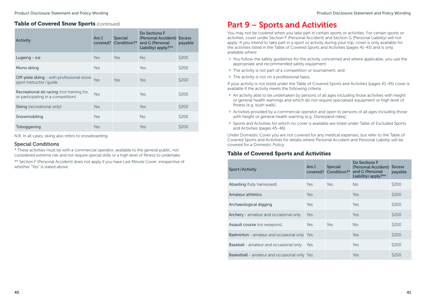#### Table of Covered Snow Sports *(continued)*

| <b>Activity</b>                                                                  | Am I<br>covered? | <b>Special</b><br>Condition?* | <b>Do Sections F</b><br>(Personal Accident)<br>and G (Personal<br>Liability) apply?** | <b>Excess</b><br>payable |
|----------------------------------------------------------------------------------|------------------|-------------------------------|---------------------------------------------------------------------------------------|--------------------------|
| Lugeing - ice                                                                    | <b>Yes</b>       | Yes                           | <b>No</b>                                                                             | \$200                    |
| Mono skiing                                                                      | <b>Yes</b>       |                               | Yes                                                                                   | \$200                    |
| Off-piste skiing - with professional snow Yes<br>sport instructor / quide        |                  | Yes                           | Yes                                                                                   | \$200                    |
| Recreational ski racing (not training for,<br>or participating in a competition) | Yes              |                               | Yes                                                                                   | \$200                    |
| Skiing (recreational only)                                                       | <b>Yes</b>       |                               | Yes                                                                                   | \$200                    |
| Snowmobiling                                                                     | <b>Yes</b>       |                               | <b>No</b>                                                                             | \$200                    |
| Tobogganing                                                                      | <b>Yes</b>       |                               | Yes                                                                                   | \$200                    |

N.B. In all cases, skiing also refers to snowboarding.

#### Special Conditions

\* These activities must be with a commercial operator, available to the general public, not considered extreme risk and not require special skills or a high level of fitness to undertake.

\*\* Section F (Personal Accident) does not apply if you have Last Minute Cover, irrespective of whether "Yes" is stated above.

### Part 9 – Sports and Activities

You may not be covered when you take part in certain sports or activities. For certain sports or activities, cover under Section F (Personal Accident) and Section G (Personal Liability) will not apply. If you intend to take part in a sport or activity during your trip, cover is only available for the activities listed in the Table of Covered Sports and Activities (pages 41-45) and is only available where:

- $\blacktriangleright$  You follow the safety quidelines for the activity concerned and where applicable, you use the appropriate and recommended safety equipment;
- $\blacktriangleright$  The activity is not part of a competition or tournament; and
- $\blacktriangleright$  The activity is not on a professional basis.

If your activity is not listed under the Table of Covered Sports and Activities (pages 41-45) cover is available if the activity meets the following criteria:

- $\blacktriangleright$  An activity able to be undertaken by persons of all ages including those activities with height or general health warnings and which do not require specialised equipment or high level of fitness (e.g. bush walk);
- $\blacktriangleright$  Activities provided by a commercial operator and open to persons of all ages including those with height or general health warning (e.g. Disneyland rides);
- 4 Sports and Activities for which no cover is available are listed under Table of Excluded Sports and Activities (pages 45-46).

Under Domestic Cover you are not covered for any medical expenses, but refer to the Table of Covered Sports and Activities for details where Personal Accident and Personal Liability will be covered for a Domestic Policy.

#### Table of Covered Sports and Activities

|  | <b>Sport/Activity</b>                               | Am I | <b>Special</b><br>covered? Condition?* | <b>Do Sections F</b><br>(Personal Accident)<br>and G (Personal<br>Liability) apply?** | <b>Excess</b><br>payable |
|--|-----------------------------------------------------|------|----------------------------------------|---------------------------------------------------------------------------------------|--------------------------|
|  | Abseiling (fully harnessed)                         | Yes  | Yes                                    | <b>No</b>                                                                             | <b>S200</b>              |
|  | Amateur athletics                                   | Yes  |                                        | Yes                                                                                   | \$200                    |
|  | Archaeological digging                              | Yes  |                                        | Yes                                                                                   | <b>\$200</b>             |
|  | Archery - amateur and occasional only               | Yes  |                                        | Yes                                                                                   | \$200                    |
|  | Assault course (no weapons)                         | Yes  | Yes                                    | <b>No</b>                                                                             | <b>S200</b>              |
|  | <b>Badminton</b> - amateur and occasional only Yes  |      |                                        | Yes                                                                                   | \$200                    |
|  | <b>Baseball</b> - amateur and occasional only Yes   |      |                                        | Yes                                                                                   | \$200                    |
|  | <b>Basketball</b> - amateur and occasional only Yes |      |                                        | Yes                                                                                   | \$200                    |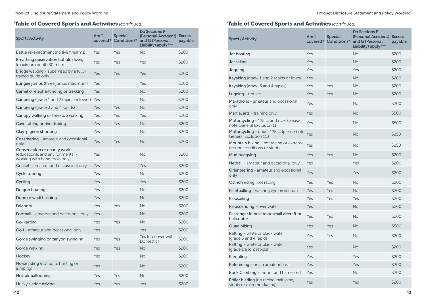| <b>Sport / Activity</b>                                                                           | Am I<br>covered? | <b>Special</b><br>Condition?* | <b>Do Sections F</b><br>(Personal Accident)<br>and G (Personal<br>Liability) apply?** | <b>Excess</b><br>payable |
|---------------------------------------------------------------------------------------------------|------------------|-------------------------------|---------------------------------------------------------------------------------------|--------------------------|
| Battle re-enactment (no live firearms)                                                            | Yes              | Yes                           | <b>No</b>                                                                             | \$200                    |
| Breathing observation bubble diving<br>(maximum depth 30 metres)                                  | Yes              | Yes                           | Yes                                                                                   | \$200                    |
| Bridge walking - supervised by a fully-<br>trained guide only                                     | Yes              | Yes                           | Yes                                                                                   | \$200                    |
| Bungee jumps (three jumps maximum)                                                                | Yes              |                               | Yes                                                                                   | \$200                    |
| Camel or elephant riding or trekking                                                              | Yes              |                               | <b>No</b>                                                                             | \$200                    |
| Canoeing (grade 1 and 2 rapids or lower)                                                          | Yes              |                               | <b>No</b>                                                                             | \$200                    |
| Canoeing (grade 3 and 4 rapids)                                                                   | Yes              | Yes                           | <b>No</b>                                                                             | \$200                    |
| Canopy walking or tree-top walking                                                                | Yes              | Yes                           | Yes                                                                                   | \$200                    |
| Cave tubing or river tubing                                                                       | Yes              | Yes                           | <b>No</b>                                                                             | \$200                    |
| Clay-pigeon shooting                                                                              | Yes              |                               | <b>No</b>                                                                             | \$200                    |
| Coasteering - amateur and occasional<br>only                                                      | Yes              | Yes                           | No                                                                                    | \$200                    |
| Conservation or charity work<br>(educational and environmental -<br>working with hand tools only) | Yes              |                               | <b>No</b>                                                                             | \$200                    |
| Cricket - amateur and occasional only                                                             | Yes              |                               | Yes                                                                                   | \$200                    |
| Cycle touring                                                                                     | Yes              |                               | <b>No</b>                                                                             | \$200                    |
| Cycling                                                                                           | Yes              |                               | Yes                                                                                   | \$200                    |
| Dragon boating                                                                                    | Yes              |                               | <b>No</b>                                                                             | \$200                    |
| Dune or wadi bashing                                                                              | Yes              |                               | <b>No</b>                                                                             |                          |
| Falconry                                                                                          | Yes              | Yes                           | <b>No</b>                                                                             | \$200                    |
| Football - amateur and occasional only                                                            | Yes              |                               | <b>No</b>                                                                             | \$200                    |
| Go-karting                                                                                        | Yes              | Yes                           | <b>No</b>                                                                             | \$200                    |
| Golf - amateur and occasional only                                                                | Yes              |                               | Yes                                                                                   | \$200                    |
| Gorge swinging or canyon swinging                                                                 | Yes              | Yes                           | Yes (no cover with<br>Domestic)                                                       | \$200                    |
| Gorge walking                                                                                     | Yes              | Yes                           | <b>No</b>                                                                             | \$200                    |
| Hockey                                                                                            | Yes              |                               | <b>No</b>                                                                             | \$200                    |
| Horse riding (not polo, hunting or<br>jumping)                                                    | Yes              |                               | <b>No</b>                                                                             | \$200                    |
| Hot-air ballooning                                                                                | Yes              | Yes                           | <b>No</b>                                                                             | \$200                    |
| Husky sledge driving                                                                              | Yes              | Yes                           | Yes                                                                                   | \$200                    |

#### Table of Covered Sports and Activities *(continued)* Table of Covered Sports and Activities *(continued)*

| <b>Sport/Activity</b>                                                  | Am I<br>covered? | <b>Special</b><br>Condition?* | <b>Do Sections F</b><br>(Personal Accident)<br>and G (Personal<br>Liability) apply?** | <b>Excess</b><br>payable |
|------------------------------------------------------------------------|------------------|-------------------------------|---------------------------------------------------------------------------------------|--------------------------|
| Jet boating                                                            | Yes              |                               | No                                                                                    | \$200                    |
| Jet skiing                                                             | Yes              |                               | <b>No</b>                                                                             | \$200                    |
| Jogging                                                                | Yes              |                               | Yes                                                                                   | \$200                    |
| Kayaking (grade 1 and 2 rapids or lower)                               | Yes              |                               | <b>No</b>                                                                             | \$200                    |
| Kayaking (grade 3 and 4 rapids)                                        | Yes              | Yes                           | No                                                                                    | \$200                    |
| Lugeing - not ice                                                      | Yes              | Yes                           | No                                                                                    | \$200                    |
| Marathons - amateur and occasional<br>only                             | Yes              |                               | No                                                                                    | \$200                    |
| Martial arts - training only                                           | Yes              |                               | No                                                                                    | \$500                    |
| Motorcycling - 125cc and over (please<br>note General Exclusion 11.)   | Yes              |                               | No                                                                                    | \$500                    |
| Motorcycling - under 125cc (please note<br>General Exclusion 11.)      | Yes              |                               | No                                                                                    | \$250                    |
| Mountain biking - not racing or extreme<br>ground conditions or stunts | Yes              |                               | No                                                                                    | \$250                    |
| Mud buggying                                                           | Yes              | Yes                           | No                                                                                    | \$200                    |
| Netball - amateur and occasional only                                  | Yes              |                               | Yes                                                                                   | \$200                    |
| Orienteering - amateur and occasional<br>only                          | Yes              |                               | Yes                                                                                   | \$200                    |
| Ostrich riding (not racing)                                            | Yes              | Yes                           | No                                                                                    | \$200                    |
| Paintballing - wearing eye protection                                  | Yes              | Yes                           | <b>No</b>                                                                             | \$200                    |
| Parasailing                                                            | Yes              | Yes                           | Yes                                                                                   | \$200                    |
| Parascending - over water                                              | Yes              |                               | No                                                                                    | \$200                    |
| Passenger in private or small aircraft or<br>helicopter                | Yes              | Yes                           | No                                                                                    | \$200                    |
| Quad biking                                                            | Yes              | Yes                           | No                                                                                    | \$500                    |
| Rafting - white or black water<br>(grade 3 and 4 rapids)               | Yes              | Yes                           | No                                                                                    | \$200                    |
| Rafting - white or black water<br>(grade 1 and 2 rapids)               | Yes              |                               | No                                                                                    | \$200                    |
| Rambling                                                               | Yes              |                               | Yes                                                                                   | \$200                    |
| Refereeing - on an amateur basis                                       | Yes              |                               | Yes                                                                                   | \$200                    |
| Rock Climbing - Indoor and harnessed                                   | Yes              |                               | No                                                                                    | \$200                    |
| Roller blading (no racing, half-pipe,<br>stunts or extreme skating)    | Yes              |                               | Yes                                                                                   | \$200                    |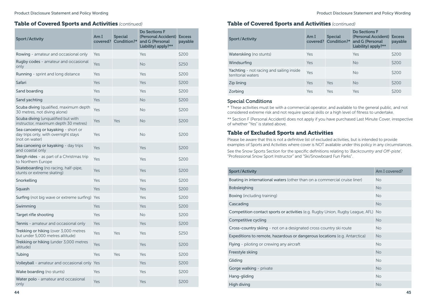| <b>Sport/Activity</b>                                                                         | Am I<br>covered? | <b>Special</b><br>Condition?* | <b>Do Sections F</b><br>(Personal Accident)<br>and G (Personal<br>Liability) apply?** | <b>Excess</b><br>payable |
|-----------------------------------------------------------------------------------------------|------------------|-------------------------------|---------------------------------------------------------------------------------------|--------------------------|
| Rowing - amateur and occasional only                                                          | Yes              |                               | Yes                                                                                   | \$200                    |
| Rugby codes - amateur and occasional<br>only                                                  | Yes              |                               | <b>No</b>                                                                             | \$250                    |
| <b>Running</b> - sprint and long distance                                                     | Yes              |                               | Yes                                                                                   | \$200                    |
| Safari                                                                                        | Yes              |                               | Yes                                                                                   | \$200                    |
| Sand boarding                                                                                 | Yes              |                               | Yes                                                                                   | \$200                    |
| Sand yachting                                                                                 | Yes              |                               | <b>No</b>                                                                             | \$200                    |
| Scuba diving (qualified, maximum depth<br>30 metres, not diving alone)                        | Yes              |                               | <b>No</b>                                                                             | \$200                    |
| Scuba diving (unqualified but with<br>instructor, maximum depth 30 metres)                    | Yes              | Yes                           | <b>No</b>                                                                             | \$200                    |
| Sea canoeing or kayaking - short or<br>day trips only, with overnight stays<br>(not on water) | Yes              |                               | <b>No</b>                                                                             | \$200                    |
| Sea canoeing or kayaking - day trips<br>and coastal only                                      | Yes              |                               | Yes                                                                                   | \$200                    |
| Sleigh rides - as part of a Christmas trip<br>to Northern Europe                              | Yes              |                               | Yes                                                                                   | \$200                    |
| Skateboarding (no racing, half-pipe,<br>stunts or extreme skating)                            | Yes              |                               | Yes                                                                                   | \$200                    |
| Snorkelling                                                                                   | Yes              |                               | Yes                                                                                   | \$200                    |
| Squash                                                                                        | Yes              |                               | Yes                                                                                   | \$200                    |
| Surfing (not big wave or extreme surfing) Yes                                                 |                  |                               | Yes                                                                                   | \$200                    |
| Swimming                                                                                      | Yes              |                               | Yes                                                                                   | \$200                    |
| Target rifle shooting                                                                         | Yes              |                               | <b>No</b>                                                                             | \$200                    |
| Tennis - amateur and occasional only                                                          | Yes              |                               | Yes                                                                                   | \$200                    |
| Trekking or hiking (over 3,000 metres<br>but under 5,000 metres altitude)                     | Yes              | Yes                           | Yes                                                                                   | \$250                    |
| Trekking or hiking (under 3,000 metres<br>altitude)                                           | Yes              |                               | Yes                                                                                   | \$200                    |
| Tubing                                                                                        | Yes              | Yes                           | Yes                                                                                   | \$200                    |
| Volleyball - amateur and occasional only Yes                                                  |                  |                               | Yes                                                                                   | \$200                    |
| Wake boarding (no stunts)                                                                     | Yes              |                               | Yes                                                                                   | \$200                    |
| Water polo - amateur and occasional<br>only                                                   | Yes              |                               | Yes                                                                                   | \$200                    |

#### Table of Covered Sports and Activities *(continued)* Table of Covered Sports and Activities *(continued)*

| <b>Sport/Activity</b>                                          | Am I       | <b>Special</b><br>covered? Condition?* | <b>Do Sections F</b><br>(Personal Accident)<br>and G (Personal<br>Liability) apply?** | <b>Excess</b><br>payable |
|----------------------------------------------------------------|------------|----------------------------------------|---------------------------------------------------------------------------------------|--------------------------|
| Waterskiing (no stunts)                                        | <b>Yes</b> |                                        | Yes                                                                                   | \$200                    |
| Windsurfing                                                    | Yes        |                                        | <b>No</b>                                                                             | \$200                    |
| Yachting - not racing and sailing inside<br>territorial waters | Yes        |                                        | <b>No</b>                                                                             | \$200                    |
| Zip lining                                                     | Yes        | Yes                                    | <b>No</b>                                                                             | \$200                    |
| Zorbing                                                        | Yes        | Yes                                    | Yes                                                                                   | \$200                    |

#### Special Conditions

\* These activities must be with a commercial operator, and available to the general public, and not considered extreme risk and not require special skills or a high level of fitness to undertake.

\*\* Section F (Personal Accident) does not apply if you have purchased Last Minute Cover, irrespective of whether "Yes" is stated above.

#### Table of Excluded Sports and Activities

Please be aware that this is not a definitive list of excluded activities, but is intended to provide examples of Sports and Activities where cover is NOT available under this policy in any circumstances.

See the Snow Sports Section for the specific definitions relating to '*Backcountry and Off-piste*', "Professional Snow Sport Instructor" and "Ski/Snowboard Fun Parks".

| <b>Sport/Activity</b>                                                             | Am I covered? |
|-----------------------------------------------------------------------------------|---------------|
| Boating in international waters (other than on a commercial cruise liner)         | <b>No</b>     |
| <b>Bobsleighing</b>                                                               | <b>No</b>     |
| <b>Boxing (including training)</b>                                                | <b>No</b>     |
| Cascading                                                                         | <b>No</b>     |
| Competition contact sports or activities (e.g. Rugby Union, Rugby League, AFL) No |               |
| Competitive cycling                                                               | <b>No</b>     |
| Cross-country skiing - not on a designated cross country ski route                | <b>No</b>     |
| Expeditions to remote, hazardous or dangerous locations (e.g. Antarctica)         | <b>No</b>     |
| Flying - piloting or crewing any aircraft                                         | <b>No</b>     |
| Freestyle skiing                                                                  | <b>No</b>     |
| Gliding                                                                           | <b>No</b>     |
| Gorge walking - private                                                           | <b>No</b>     |
| Hang-gliding                                                                      | <b>No</b>     |
| High diving                                                                       | <b>No</b>     |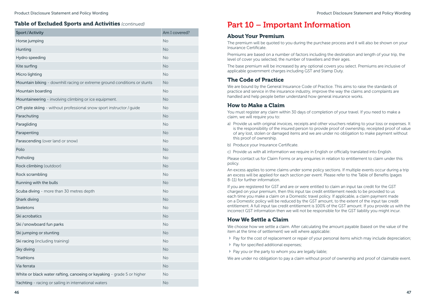#### Table of Excluded Sports and Activities *(continued)*

| <b>Sport/Activity</b>                                                    | Am I covered? |
|--------------------------------------------------------------------------|---------------|
| Horse jumping                                                            | <b>No</b>     |
| Hunting                                                                  | <b>No</b>     |
| Hydro speeding                                                           | <b>No</b>     |
| Kite surfing                                                             | <b>No</b>     |
| Micro lighting                                                           | <b>No</b>     |
| Mountain biking - downhill racing or extreme ground conditions or stunts | <b>No</b>     |
| Mountain boarding                                                        | <b>No</b>     |
| Mountaineering - involving climbing or ice equipment.                    | <b>No</b>     |
| Off-piste skiing - without professional snow sport instructor / guide    | <b>No</b>     |
| Parachuting                                                              | <b>No</b>     |
| Paragliding                                                              | <b>No</b>     |
| Parapenting                                                              | <b>No</b>     |
| Parascending (over land or snow)                                         | <b>No</b>     |
| Polo                                                                     | <b>No</b>     |
| Potholing                                                                | <b>No</b>     |
| Rock climbing (outdoor)                                                  | <b>No</b>     |
| Rock scrambling                                                          | <b>No</b>     |
| Running with the bulls                                                   | <b>No</b>     |
| Scuba diving - more than 30 metres depth                                 | No            |
| Shark diving                                                             | <b>No</b>     |
| <b>Skeletons</b>                                                         | <b>No</b>     |
| Ski acrobatics                                                           | <b>No</b>     |
| Ski/snowboard fun parks                                                  | <b>No</b>     |
| Ski jumping or stunting                                                  | <b>No</b>     |
| Ski racing (including training)                                          | <b>No</b>     |
| Sky diving                                                               | <b>No</b>     |
| <b>Triathlons</b>                                                        | No            |
| Via ferrata                                                              | <b>No</b>     |
| White or black water rafting, canoeing or kayaking - grade 5 or higher   | <b>No</b>     |
| Yachting - racing or sailing in international waters                     | <b>No</b>     |

# Part 10 – Important Information

#### About Your Premium

The premium will be quoted to you during the purchase process and it will also be shown on your Insurance Certificate.

Premiums are based on a number of factors including the destination and length of your trip, the level of cover you selected, the number of travellers and their ages.

The base premium will be increased by any optional covers you select. Premiums are inclusive of applicable government charges including GST and Stamp Duty.

#### The Code of Practice

We are bound by the General Insurance Code of Practice. This aims to raise the standards of practice and service in the insurance industry, improve the way the claims and complaints are handled and help people better understand how general insurance works.

#### How to Make a Claim

You must register any claim within 30 days of completion of your travel. If you need to make a claim, we will require you to:

a) Provide us with original invoices, receipts and other vouchers relating to your loss or expenses. It is the responsibility of the insured person to provide proof of ownership, receipted proof of value of any lost, stolen or damaged items and we are under no obligation to make payment without this proof of ownership.

b) Produce your Insurance Certificate.

c) Provide us with all information we require in English or officially translated into English.

Please contact us for Claim Forms or any enquiries in relation to entitlement to claim under this policy.

An excess applies to some claims under some policy sections. If multiple events occur during a trip an excess will be applied for each section per event. Please refer to the Table of Benefits (pages 8-11) for further information.

If you are registered for GST and are or were entitled to claim an input tax credit for the GST charged on your premium, then this input tax credit entitlement needs to be provided to us each time you make a claim on a Domestic travel policy. If applicable, a claim payment made on a Domestic policy will be reduced by the GST amount, to the extent of the input tax credit entitlement. A full input tax credit entitlement is 100% of the GST amount. If you provide us with the incorrect GST information then we will not be responsible for the GST liability you might incur.

### How We Settle a Claim

We choose how we settle a claim. After calculating the amount payable (based on the value of the item at the time of settlement) we will where applicable:

- $\blacktriangleright$  Pay for the cost of replacement or repair of your personal items which may include depreciation;
- $\blacktriangleright$  Pay for specified additional expenses;
- $\blacktriangleright$  Pay you or the party to whom you are legally liable;

We are under no obligation to pay a claim without proof of ownership and proof of claimable event.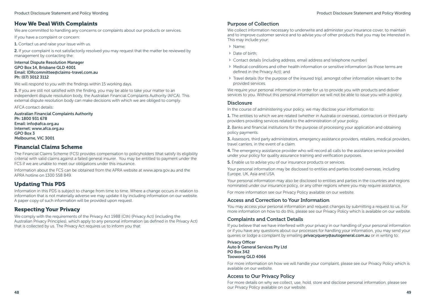#### How We Deal With Complaints

We are committed to handling any concerns or complaints about our products or services.

If you have a complaint or concern:

1. Contact us and raise your issue with us.

2. If your complaint is not satisfactorily resolved you may request that the matter be reviewed by management by contacting the:

#### Internal Dispute Resolution Manager GPO Box 14, Brisbane QLD 4001 Email: IDRcommittee@claims-travel.com.au Ph: (07) 3012 3112

We will respond to you with the findings within 15 working days.

**3.** If you are still not satisfied with the finding, you may be able to take your matter to an independent dispute resolution body, the Australian Financial Complaints Authority (AFCA). This external dispute resolution body can make decisions with which we are obliged to comply.

AFCA contact details:

Australian Financial Complaints Authority Ph: 1800 931 678 Email: info@afca.org.au Internet: www.afca.org.au GPO Box 3 Melbourne, VIC 3001

#### Financial Claims Scheme

The Financial Claims Scheme (FCS) provides compensation to policyholders (that satisfy its eligibility criteria) with valid claims against a failed general insurer. You may be entitled to payment under the FCS if we are unable to meet our obligations under this insurance.

Information about the FCS can be obtained from the APRA website at www.apra.gov.au and the APRA hotline on 1300 558 849.

#### Updating This PDS

Information in this PDS is subject to change from time to time. Where a change occurs in relation to information that is not materially adverse we may update it by including information on our website. A paper copy of such information will be provided upon request.

#### Respecting Your Privacy

We comply with the requirements of the Privacy Act 1988 (Cth) (Privacy Act) (including the Australian Privacy Principles), which apply to any personal information (as defined in the Privacy Act) that is collected by us. The Privacy Act requires us to inform you that:

#### Purpose of Collection

We collect information necessary to underwrite and administer your insurance cover, to maintain and to improve customer service and to advise you of other products that you may be interested in. This may include your:

- 4 Name;
- ▶ Date of birth:
- $\triangleright$  Contact details (including address, email address and telephone number)
- $\blacktriangleright$  Medical conditions and other health information or sensitive information (as those terms are defined in the Privacy Act); and
- $\blacktriangleright$  Travel details (for the purpose of the insured trip), amongst other information relevant to the provided services.

We require your personal information in order for us to provide you with products and deliver services to you. Without this personal information we will not be able to issue you with a policy.

#### **Disclosure**

In the course of administering your policy, we may disclose your information to:

1. The entities to which we are related (whether in Australia or overseas), contractors or third party providers providing services related to the administration of your policy.

2. Banks and financial institutions for the purpose of processing your application and obtaining policy payments.

3. Assessors, third party administrators, emergency assistance providers, retailers, medical providers, travel carriers, in the event of a claim.

4. The emergency assistance provider who will record all calls to the assistance service provided under your policy for quality assurance training and verification purposes.

5. Enable us to advise you of our insurance products or services.

Your personal information may be disclosed to entities and parties located overseas, including Europe, UK, Asia and USA.

Your personal information may also be disclosed to entities and parties in the countries and regions nominated under our insurance policy, or any other regions where you may require assistance.

For more information see our Privacy Policy available on our website.

#### Access and Correction to Your Information

You may access your personal information and request changes by submitting a request to us. For more information on how to do this, please see our Privacy Policy which is available on our website.

#### Complaints and Contact Details

If you believe that we have interfered with your privacy in our handling of your personal information or if you have any questions about our processes for handling your information, you may send your queries or lodge a complaint by emailing **privacyquery@autogeneral.com.au** or in writing to:

Privacy Officer Auto & General Services Pty Ltd PO Box 342 Toowong QLD 4066

For more information on how we will handle your complaint, please see our Privacy Policy which is available on our website.

#### Access to Our Privacy Policy

For more details on why we collect, use, hold, store and disclose personal information, please see our Privacy Policy available on our website.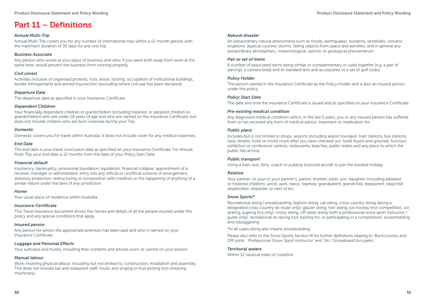### Part 11 – Definitions

#### *Annual Multi-Trip*

Annual Multi-Trip covers you for any number of international trips within a 12-month period, with the maximum duration of 30 days for any one trip.

#### *Business Associate*

Any person who works at your place of business and who, if you were both away from work at the same time, would prevent the business from running properly.

#### *Civil unrest*

Activities inclusive of organised protests, riots, arson, looting, occupation of institutional buildings, border infringements and armed insurrection (excluding where civil war has been declared).

#### *Departure Date*

The departure date as specified in your Insurance Certificate.

#### *Dependent Children*

Your financially dependent children or grandchildren (including fostered, or adopted children or grandchildren) who are under 18 years of age and who are named on the Insurance Certificate, but does not include children who are born overseas during your Trip.

#### *Domestic*

Domestic covers you for travel within Australia. It does not include cover for any medical expenses.

#### *End Date*

The end date is your travel conclusion date as specified on your Insurance Certificate. For Annual Multi-Trip your end date is 12 months from the date of your Policy Start Date.

#### *Financial default*

Insolvency, bankruptcy, provisional liquidation, liquidation, financial collapse, appointment of a receiver, manager or administrator, entry into any official or unofficial scheme of arrangement, statutory protection, restructuring or composition with creditors or the happening of anything of a similar nature under the laws of any jurisdiction.

#### *Home*

Your usual place of residence within Australia.

#### *Insurance Certificate*

This Travel Insurance document shows the names and details of all the people insured under this policy and any special conditions that apply.

#### *Insured person*

Any person for whom the appropriate premium has been paid and who is named on your Insurance Certificate.

#### *Luggage and Personal Effects*

Your suitcases and trunks, including their contents and articles worn or carried on your person.

#### *Manual labour*

Work involving physical labour, including but not limited to, construction, installation and assembly. This does not include bar and restaurant staff, music and singing or fruit picking (not involving machinery).

#### *Natural disaster*

An extraordinary natural phenomena such as floods, earthquakes, tsunamis, landslides, volcanic eruptions, atypical cyclonic storms, falling objects from space and aerolites, and in general any extraordinary atmospheric, meteorological, seismic or geological phenomenon.

#### *Pair or set of items*

A number of associated items being similar or complementary or used together (e.g. a pair of earrings, a camera body and its standard lens and accessories or a set of golf clubs)

#### *Policy Holder*

The person named in the Insurance Certificate as the Policy Holder and is also an insured person under this policy.

#### *Policy Start Date*

The date and time the Insurance Certificate is issued and as specified on your Insurance Certificate.

#### *Pre-existing medical condition*

Any diagnosed medical condition which, in the last 5 years, you or any insured person has suffered from or has received any form of medical advice, treatment or medication for.

#### *Public place*

Includes but is not limited to shops, airports (including airport lounges), train stations, bus stations, taxis, streets, hotel or motel room after you have checked out, hotel foyers and grounds, function, exhibition or conference centres, restaurants, beaches, public toilets and any place to which the public has access.

#### *Public transport*

Using a train, bus, ferry, coach or publicly licenced aircraft to join the booked holiday.

#### *Relative*

Your partner, or your or your partner's; parent, brother, sister, son, daughter (including adopted or fostered children), uncle, aunt, niece, nephew, grandparent, grandchild, stepparent, stepchild, stepbrother, stepsister or next of kin.

#### *Snow Sports\**

Recreational skiing / snowboarding, bigfoot skiing, cat skiing, cross country skiing (along a designated cross country ski route only), glacier skiing, heli-skiing, ice hockey (not competitive), ice skating, lugeing (ice only), mono skiing, off-piste skiing (with a professional snow sport instructor / guide only), recreational ski racing (not training for, or participating in a competition), snowmobiling and tobogganing.

\*In all cases skiing also means snowboarding.

Please also refer to the Snow Sports Section M for further definitions relating to '*Backcountry and Off-piste*', '*Professional Snow Sport Instructor*' and '*Ski / Snowboard fun parks*'.

#### *Territorial waters*

Within 12 nautical miles of coastline.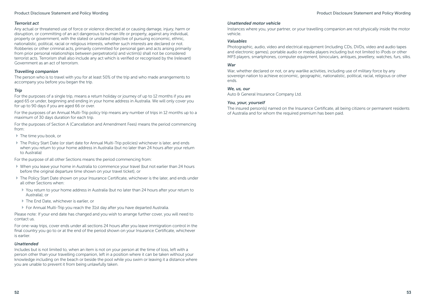Any actual or threatened use of force or violence directed at or causing damage, injury, harm or disruption, or committing of an act dangerous to human life or property, against any individual, property or government, with the stated or unstated objective of pursuing economic, ethnic, nationalistic, political, racial or religious interests, whether such interests are declared or not. Robberies or other criminal acts, primarily committed for personal gain and acts arising primarily from prior personal relationships between perpetrator(s) and victim(s) shall not be considered terrorist acts. Terrorism shall also include any act which is verified or recognised by the (relevant) Government as an act of terrorism.

#### *Travelling companion*

The person who is to travel with you for at least 50% of the trip and who made arrangements to accompany you before you began the trip.

#### *Trip*

For the purposes of a single trip, means a return holiday or journey of up to 12 months if you are aged 65 or under, beginning and ending in your home address in Australia. We will only cover you for up to 90 days if you are aged 66 or over.

For the purposes of an Annual Multi-Trip policy trip means any number of trips in 12 months up to a maximum of 30 days duration for each trip.

For the purposes of Section A (Cancellation and Amendment Fees) means the period commencing from:

- ▶ The time you book, or
- The Policy Start Date (or start date for Annual Multi-Trip policies) whichever is later, and ends when you return to your home address in Australia (but no later than 24 hours after your return to Australia)

For the purpose of all other Sections means the period commencing from:

- ▶ When you leave your home in Australia to commence your travel (but not earlier than 24 hours before the original departure time shown on your travel ticket), or
- In The Policy Start Date shown on your Insurance Certificate, whichever is the later, and ends under all other Sections when:
	- 4 You return to your home address in Australia (but no later than 24 hours after your return to Australia), or
	- 4 The End Date, whichever is earlier, or
	- For Annual Multi-Trip you reach the 31st day after you have departed Australia.

Please note: If your end date has changed and you wish to arrange further cover, you will need to contact us.

For one-way trips, cover ends under all sections 24 hours after you leave immigration control in the final country you go to or at the end of the period shown on your Insurance Certificate, whichever is earlier.

#### *Unattended*

Includes but is not limited to, when an item is not on your person at the time of loss, left with a person other than your travelling companion, left in a position where it can be taken without your knowledge including on the beach or beside the pool while you swim or leaving it a distance where you are unable to prevent it from being unlawfully taken.

#### *Unattended motor vehicle*

Instances where you, your partner, or your travelling companion are not physically inside the motor vehicle.

#### *Valuables*

Photographic, audio, video and electrical equipment (including CDs, DVDs, video and audio tapes and electronic games), portable audio or media players including but not limited to iPods or other MP3 players, smartphones, computer equipment, binoculars, antiques, jewellery, watches, furs, silks.

#### *War*

War, whether declared or not, or any warlike activities, including use of military force by any sovereign nation to achieve economic, geographic, nationalistic, political, racial, religious or other ends.

#### *We, us, our*

Auto & General Insurance Company Ltd.

#### *You, your, yourself*

The insured person(s) named on the Insurance Certificate, all being citizens or permanent residents of Australia and for whom the required premium has been paid.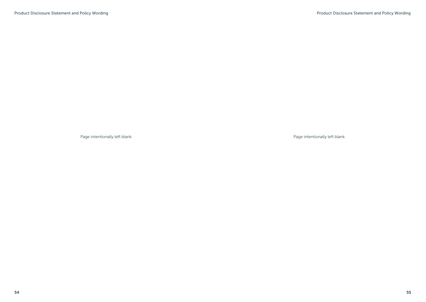Page intentionally left blank. And the state of the state of the state of the Page intentionally left blank.